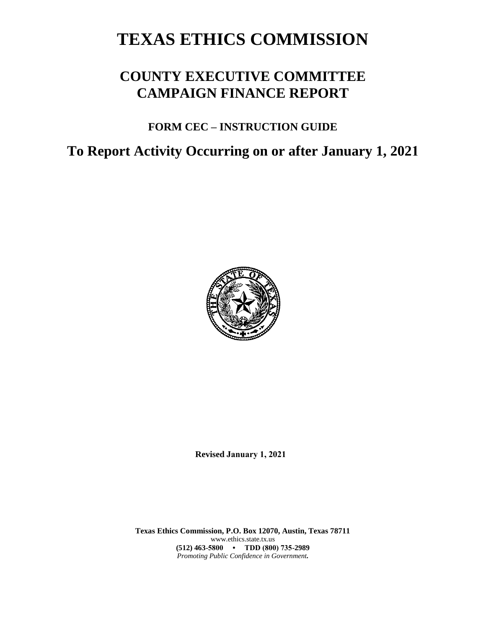# **TEXAS ETHICS COMMISSION**

## **COUNTY EXECUTIVE COMMITTEE CAMPAIGN FINANCE REPORT**

### **FORM CEC – INSTRUCTION GUIDE**

## **To Report Activity Occurring on or after January 1, 2021**



**Revised January 1, 2021**

**Texas Ethics Commission, P.O. Box 12070, Austin, Texas 78711** www.ethics.state.tx.us **(512) 463-5800 • TDD (800) 735-2989** *Promoting Public Confidence in Government.*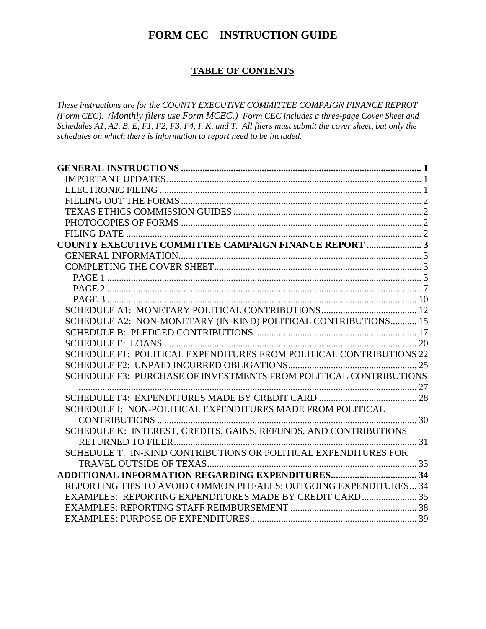### **FORM CEC – INSTRUCTION GUIDE**

#### **TABLE OF CONTENTS**

*These instructions are for the COUNTY EXECUTIVE COMMITTEE COMPAIGN FINANCE REPROT (Form CEC). (Monthly filers use Form MCEC.) Form CEC includes a three-page Cover Sheet and Schedules A1, A2, B, E, F1, F2, F3, F4, I, K, and T. All filers must submit the cover sheet, but only the schedules on which there is information to report need to be included.*

| <b>COUNTY EXECUTIVE COMMITTEE CAMPAIGN FINANCE REPORT  3</b>        |  |
|---------------------------------------------------------------------|--|
|                                                                     |  |
|                                                                     |  |
|                                                                     |  |
|                                                                     |  |
|                                                                     |  |
|                                                                     |  |
| SCHEDULE A2: NON-MONETARY (IN-KIND) POLITICAL CONTRIBUTIONS 15      |  |
|                                                                     |  |
|                                                                     |  |
| SCHEDULE F1: POLITICAL EXPENDITURES FROM POLITICAL CONTRIBUTIONS 22 |  |
|                                                                     |  |
| SCHEDULE F3: PURCHASE OF INVESTMENTS FROM POLITICAL CONTRIBUTIONS   |  |
|                                                                     |  |
|                                                                     |  |
| SCHEDULE I: NON-POLITICAL EXPENDITURES MADE FROM POLITICAL          |  |
|                                                                     |  |
| SCHEDULE K: INTEREST, CREDITS, GAINS, REFUNDS, AND CONTRIBUTIONS    |  |
|                                                                     |  |
| SCHEDULE T: IN-KIND CONTRIBUTIONS OR POLITICAL EXPENDITURES FOR     |  |
|                                                                     |  |
|                                                                     |  |
| REPORTING TIPS TO AVOID COMMON PITFALLS: OUTGOING EXPENDITURES 34   |  |
| EXAMPLES: REPORTING EXPENDITURES MADE BY CREDIT CARD 35             |  |
|                                                                     |  |
|                                                                     |  |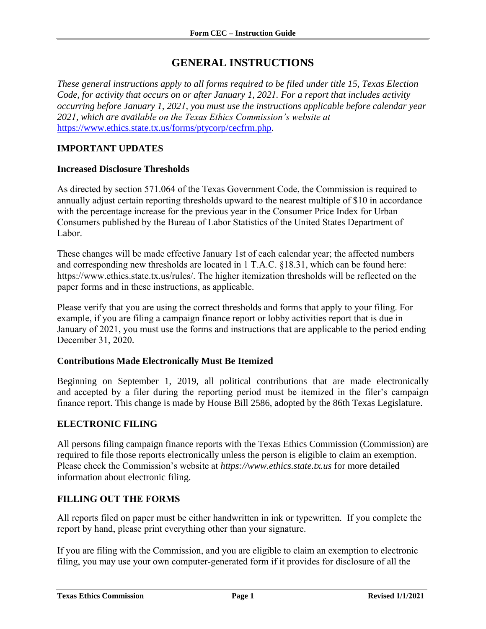### **GENERAL INSTRUCTIONS**

<span id="page-2-0"></span>*These general instructions apply to all forms required to be filed under title 15, Texas Election Code, for activity that occurs on or after January 1, 2021. For a report that includes activity occurring before January 1, 2021, you must use the instructions applicable before calendar year 2021, which are available on the Texas Ethics Commission's website at* <https://www.ethics.state.tx.us/forms/ptycorp/cecfrm.php>*.*

#### <span id="page-2-1"></span>**IMPORTANT UPDATES**

#### **Increased Disclosure Thresholds**

As directed by section 571.064 of the Texas Government Code, the Commission is required to annually adjust certain reporting thresholds upward to the nearest multiple of \$10 in accordance with the percentage increase for the previous year in the Consumer Price Index for Urban Consumers published by the Bureau of Labor Statistics of the United States Department of Labor.

These changes will be made effective January 1st of each calendar year; the affected numbers [and corresponding new thresholds are located in 1 T.A.C. §18.31, which can be](https://www.ethics.state.tx.us/rules/adopted/2016-2020/adopted_Mar_2019.php) found here: https://www.ethics.state.tx.us/rules/. The higher itemization thresholds will be reflected on the paper forms and in these instructions, as applicable.

Please verify that you are using the correct thresholds and forms that apply to your filing. For example, if you are filing a campaign finance report or lobby activities report that is due in January of 2021, you must use the forms and instructions that are applicable to the period ending December 31, 2020.

#### **Contributions Made Electronically Must Be Itemized**

Beginning on September 1, 2019, all political contributions that are made electronically and accepted by a filer during the reporting period must be itemized in the filer's campaign finance report. This change is made by House Bill 2586, adopted by the 86th Texas Legislature.

#### **ELECTRONIC FILING**

All persons filing campaign finance reports with the Texas Ethics Commission (Commission) are required to file those reports electronically unless the person is eligible to claim an exemption. Please check the Commission's website at *https://www.ethics.state.tx.us* for more detailed information about electronic filing.

#### <span id="page-2-2"></span>**FILLING OUT THE FORMS**

All reports filed on paper must be either handwritten in ink or typewritten. If you complete the report by hand, please print everything other than your signature.

If you are filing with the Commission, and you are eligible to claim an exemption to electronic filing, you may use your own computer-generated form if it provides for disclosure of all the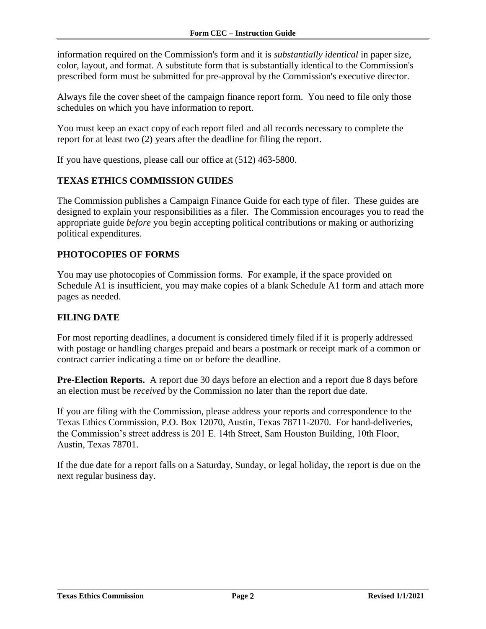<span id="page-3-0"></span>information required on the Commission's form and it is *substantially identical* in paper size, color, layout, and format. A substitute form that is substantially identical to the Commission's prescribed form must be submitted for pre-approval by the Commission's executive director.

Always file the cover sheet of the campaign finance report form. You need to file only those schedules on which you have information to report.

You must keep an exact copy of each report filed and all records necessary to complete the report for at least two (2) years after the deadline for filing the report.

If you have questions, please call our office at (512) 463-5800.

#### **TEXAS ETHICS COMMISSION GUIDES**

The Commission publishes a Campaign Finance Guide for each type of filer. These guides are designed to explain your responsibilities as a filer. The Commission encourages you to read the appropriate guide *before* you begin accepting political contributions or making or authorizing political expenditures.

#### <span id="page-3-1"></span>**PHOTOCOPIES OF FORMS**

You may use photocopies of Commission forms. For example, if the space provided on Schedule A1 is insufficient, you may make copies of a blank Schedule A1 form and attach more pages as needed.

#### <span id="page-3-2"></span>**FILING DATE**

For most reporting deadlines, a document is considered timely filed if it is properly addressed with postage or handling charges prepaid and bears a postmark or receipt mark of a common or contract carrier indicating a time on or before the deadline.

<span id="page-3-3"></span>**Pre-Election Reports.** A report due 30 days before an election and a report due 8 days before an election must be *received* by the Commission no later than the report due date.

If you are filing with the Commission, please address your reports and correspondence to the Texas Ethics Commission, P.O. Box 12070, Austin, Texas 78711-2070. For hand-deliveries, the Commission's street address is 201 E. 14th Street, Sam Houston Building, 10th Floor, Austin, Texas 78701.

If the due date for a report falls on a Saturday, Sunday, or legal holiday, the report is due on the next regular business day.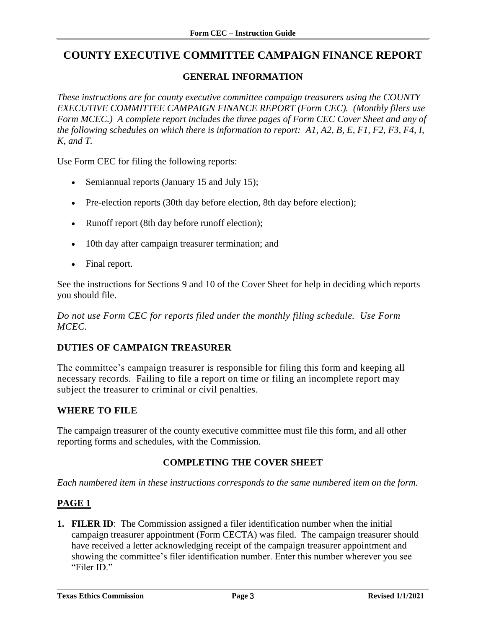### <span id="page-4-0"></span>**COUNTY EXECUTIVE COMMITTEE CAMPAIGN FINANCE REPORT**

#### **GENERAL INFORMATION**

<span id="page-4-1"></span>*These instructions are for county executive committee campaign treasurers using the COUNTY EXECUTIVE COMMITTEE CAMPAIGN FINANCE REPORT (Form CEC). (Monthly filers use Form MCEC.) A complete report includes the three pages of Form CEC Cover Sheet and any of the following schedules on which there is information to report: A1, A2, B, E, F1, F2, F3, F4, I, K, and T.*

Use Form CEC for filing the following reports:

- Semiannual reports (January 15 and July 15);
- Pre-election reports (30th day before election, 8th day before election);
- Runoff report (8th day before runoff election);
- 10th day after campaign treasurer termination; and
- Final report.

See the instructions for Sections 9 and 10 of the Cover Sheet for help in deciding which reports you should file.

*Do not use Form CEC for reports filed under the monthly filing schedule. Use Form MCEC.*

#### **DUTIES OF CAMPAIGN TREASURER**

The committee's campaign treasurer is responsible for filing this form and keeping all necessary records. Failing to file a report on time or filing an incomplete report may subject the treasurer to criminal or civil penalties.

#### **WHERE TO FILE**

The campaign treasurer of the county executive committee must file this form, and all other reporting forms and schedules, with the Commission.

#### **COMPLETING THE COVER SHEET**

<span id="page-4-2"></span>*Each numbered item in these instructions corresponds to the same numbered item on the form.*

#### <span id="page-4-3"></span>**PAGE 1**

**1. FILER ID**: The Commission assigned a filer identification number when the initial campaign treasurer appointment (Form CECTA) was filed. The campaign treasurer should have received a letter acknowledging receipt of the campaign treasurer appointment and showing the committee's filer identification number. Enter this number wherever you see "Filer ID."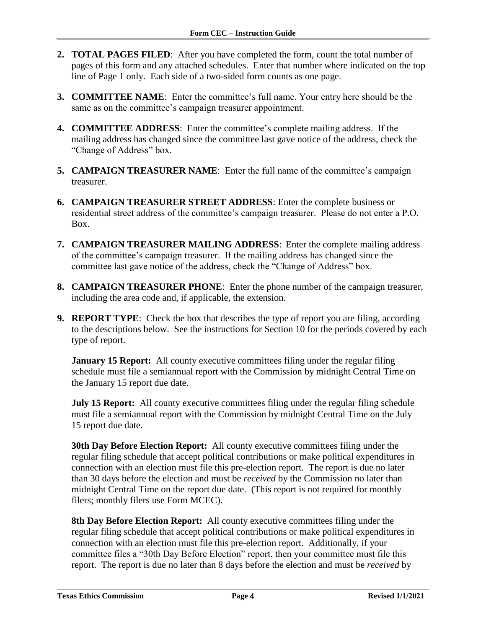- **2. TOTAL PAGES FILED**: After you have completed the form, count the total number of pages of this form and any attached schedules. Enter that number where indicated on the top line of Page 1 only. Each side of a two-sided form counts as one page.
- **3. COMMITTEE NAME**: Enter the committee's full name. Your entry here should be the same as on the committee's campaign treasurer appointment.
- **4. COMMITTEE ADDRESS**: Enter the committee's complete mailing address. If the mailing address has changed since the committee last gave notice of the address, check the "Change of Address" box.
- **5. CAMPAIGN TREASURER NAME**: Enter the full name of the committee's campaign treasurer.
- **6. CAMPAIGN TREASURER STREET ADDRESS**: Enter the complete business or residential street address of the committee's campaign treasurer. Please do not enter a P.O. Box.
- **7. CAMPAIGN TREASURER MAILING ADDRESS**: Enter the complete mailing address of the committee's campaign treasurer. If the mailing address has changed since the committee last gave notice of the address, check the "Change of Address" box.
- **8. CAMPAIGN TREASURER PHONE**: Enter the phone number of the campaign treasurer, including the area code and, if applicable, the extension.
- **9. REPORT TYPE**: Check the box that describes the type of report you are filing, according to the descriptions below. See the instructions for Section 10 for the periods covered by each type of report.

**January 15 Report:** All county executive committees filing under the regular filing schedule must file a semiannual report with the Commission by midnight Central Time on the January 15 report due date.

**July 15 Report:** All county executive committees filing under the regular filing schedule must file a semiannual report with the Commission by midnight Central Time on the July 15 report due date.

**30th Day Before Election Report:** All county executive committees filing under the regular filing schedule that accept political contributions or make political expenditures in connection with an election must file this pre-election report. The report is due no later than 30 days before the election and must be *received* by the Commission no later than midnight Central Time on the report due date. (This report is not required for monthly filers; monthly filers use Form MCEC).

**8th Day Before Election Report:** All county executive committees filing under the regular filing schedule that accept political contributions or make political expenditures in connection with an election must file this pre-election report. Additionally, if your committee files a "30th Day Before Election" report, then your committee must file this report. The report is due no later than 8 days before the election and must be *received* by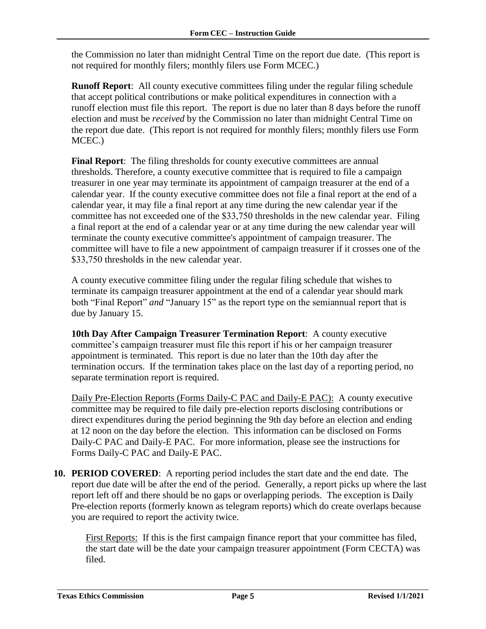the Commission no later than midnight Central Time on the report due date. (This report is not required for monthly filers; monthly filers use Form MCEC.)

**Runoff Report**: All county executive committees filing under the regular filing schedule that accept political contributions or make political expenditures in connection with a runoff election must file this report. The report is due no later than 8 days before the runoff election and must be *received* by the Commission no later than midnight Central Time on the report due date. (This report is not required for monthly filers; monthly filers use Form MCEC.)

**Final Report:** The filing thresholds for county executive committees are annual thresholds. Therefore, a county executive committee that is required to file a campaign treasurer in one year may terminate its appointment of campaign treasurer at the end of a calendar year. If the county executive committee does not file a final report at the end of a calendar year, it may file a final report at any time during the new calendar year if the committee has not exceeded one of the \$33,750 thresholds in the new calendar year. Filing a final report at the end of a calendar year or at any time during the new calendar year will terminate the county executive committee's appointment of campaign treasurer. The committee will have to file a new appointment of campaign treasurer if it crosses one of the \$33,750 thresholds in the new calendar year.

A county executive committee filing under the regular filing schedule that wishes to terminate its campaign treasurer appointment at the end of a calendar year should mark both "Final Report" *and* "January 15" as the report type on the semiannual report that is due by January 15.

**10th Day After Campaign Treasurer Termination Report**: A county executive committee's campaign treasurer must file this report if his or her campaign treasurer appointment is terminated. This report is due no later than the 10th day after the termination occurs. If the termination takes place on the last day of a reporting period, no separate termination report is required.

Daily Pre-Election Reports (Forms Daily-C PAC and Daily-E PAC): A county executive committee may be required to file daily pre-election reports disclosing contributions or direct expenditures during the period beginning the 9th day before an election and ending at 12 noon on the day before the election. This information can be disclosed on Forms Daily-C PAC and Daily-E PAC. For more information, please see the instructions for Forms Daily-C PAC and Daily-E PAC.

**10. PERIOD COVERED**: A reporting period includes the start date and the end date. The report due date will be after the end of the period. Generally, a report picks up where the last report left off and there should be no gaps or overlapping periods. The exception is Daily Pre-election reports (formerly known as telegram reports) which do create overlaps because you are required to report the activity twice.

First Reports: If this is the first campaign finance report that your committee has filed, the start date will be the date your campaign treasurer appointment (Form CECTA) was filed.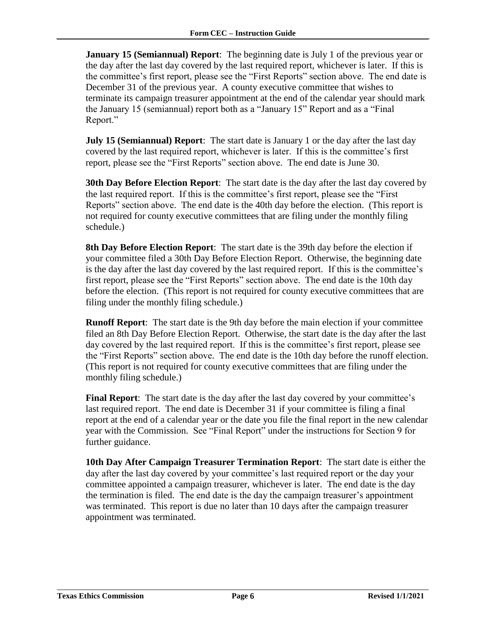**January 15 (Semiannual) Report:** The beginning date is July 1 of the previous year or the day after the last day covered by the last required report, whichever is later. If this is the committee's first report, please see the "First Reports" section above. The end date is December 31 of the previous year. A county executive committee that wishes to terminate its campaign treasurer appointment at the end of the calendar year should mark the January 15 (semiannual) report both as a "January 15" Report and as a "Final Report."

**July 15 (Semiannual) Report**: The start date is January 1 or the day after the last day covered by the last required report, whichever is later. If this is the committee's first report, please see the "First Reports" section above. The end date is June 30.

**30th Day Before Election Report**: The start date is the day after the last day covered by the last required report. If this is the committee's first report, please see the "First Reports" section above. The end date is the 40th day before the election. (This report is not required for county executive committees that are filing under the monthly filing schedule.)

**8th Day Before Election Report**: The start date is the 39th day before the election if your committee filed a 30th Day Before Election Report. Otherwise, the beginning date is the day after the last day covered by the last required report. If this is the committee's first report, please see the "First Reports" section above. The end date is the 10th day before the election. (This report is not required for county executive committees that are filing under the monthly filing schedule.)

**Runoff Report**: The start date is the 9th day before the main election if your committee filed an 8th Day Before Election Report. Otherwise, the start date is the day after the last day covered by the last required report. If this is the committee's first report, please see the "First Reports" section above. The end date is the 10th day before the runoff election. (This report is not required for county executive committees that are filing under the monthly filing schedule.)

**Final Report**: The start date is the day after the last day covered by your committee's last required report. The end date is December 31 if your committee is filing a final report at the end of a calendar year or the date you file the final report in the new calendar year with the Commission. See "Final Report" under the instructions for Section 9 for further guidance.

**10th Day After Campaign Treasurer Termination Report**: The start date is either the day after the last day covered by your committee's last required report or the day your committee appointed a campaign treasurer, whichever is later. The end date is the day the termination is filed. The end date is the day the campaign treasurer's appointment was terminated. This report is due no later than 10 days after the campaign treasurer appointment was terminated.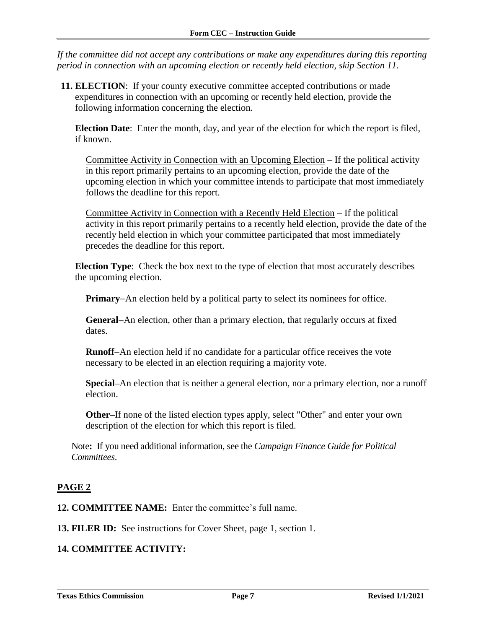*If the committee did not accept any contributions or make any expenditures during this reporting period in connection with an upcoming election or recently held election, skip Section 11.*

**11. ELECTION**: If your county executive committee accepted contributions or made expenditures in connection with an upcoming or recently held election, provide the following information concerning the election.

**Election Date**: Enter the month, day, and year of the election for which the report is filed, if known.

Committee Activity in Connection with an Upcoming Election – If the political activity in this report primarily pertains to an upcoming election, provide the date of the upcoming election in which your committee intends to participate that most immediately follows the deadline for this report.

Committee Activity in Connection with a Recently Held Election – If the political activity in this report primarily pertains to a recently held election, provide the date of the recently held election in which your committee participated that most immediately precedes the deadline for this report.

**Election Type**: Check the box next to the type of election that most accurately describes the upcoming election.

**Primary–An election held by a political party to select its nominees for office.** 

**General**–An election, other than a primary election, that regularly occurs at fixed dates.

**Runoff-An election held if no candidate for a particular office receives the vote** necessary to be elected in an election requiring a majority vote.

**Special–**An election that is neither a general election, nor a primary election, nor a runoff election.

**Other–**If none of the listed election types apply, select "Other" and enter your own description of the election for which this report is filed.

Note**:** If you need additional information, see the *Campaign Finance Guide for Political Committees*.

#### <span id="page-8-0"></span>**PAGE 2**

**12. COMMITTEE NAME:** Enter the committee's full name.

**13. FILER ID:** See instructions for Cover Sheet, page 1, section 1.

#### **14. COMMITTEE ACTIVITY:**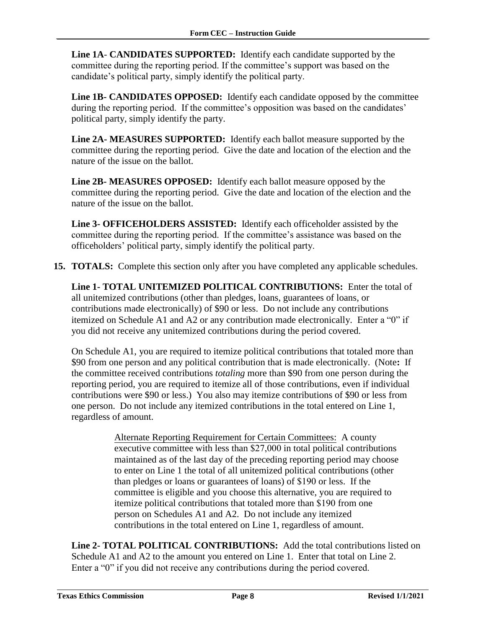**Line 1A**- **CANDIDATES SUPPORTED:** Identify each candidate supported by the committee during the reporting period. If the committee's support was based on the candidate's political party, simply identify the political party.

**Line 1B- CANDIDATES OPPOSED:** Identify each candidate opposed by the committee during the reporting period. If the committee's opposition was based on the candidates' political party, simply identify the party.

**Line 2A- MEASURES SUPPORTED:** Identify each ballot measure supported by the committee during the reporting period. Give the date and location of the election and the nature of the issue on the ballot.

**Line 2B- MEASURES OPPOSED:** Identify each ballot measure opposed by the committee during the reporting period. Give the date and location of the election and the nature of the issue on the ballot.

**Line 3- OFFICEHOLDERS ASSISTED:** Identify each officeholder assisted by the committee during the reporting period. If the committee's assistance was based on the officeholders' political party, simply identify the political party.

**15. TOTALS:** Complete this section only after you have completed any applicable schedules*.*

**Line 1- TOTAL UNITEMIZED POLITICAL CONTRIBUTIONS:** Enter the total of all unitemized contributions (other than pledges, loans, guarantees of loans, or contributions made electronically) of \$90 or less. Do not include any contributions itemized on Schedule A1 and A2 or any contribution made electronically. Enter a "0" if you did not receive any unitemized contributions during the period covered.

On Schedule A1, you are required to itemize political contributions that totaled more than \$90 from one person and any political contribution that is made electronically. (Note**:** If the committee received contributions *totaling* more than \$90 from one person during the reporting period, you are required to itemize all of those contributions, even if individual contributions were \$90 or less.) You also may itemize contributions of \$90 or less from one person. Do not include any itemized contributions in the total entered on Line 1, regardless of amount.

> Alternate Reporting Requirement for Certain Committees: A county executive committee with less than \$27,000 in total political contributions maintained as of the last day of the preceding reporting period may choose to enter on Line 1 the total of all unitemized political contributions (other than pledges or loans or guarantees of loans) of \$190 or less. If the committee is eligible and you choose this alternative, you are required to itemize political contributions that totaled more than \$190 from one person on Schedules A1 and A2. Do not include any itemized contributions in the total entered on Line 1, regardless of amount.

**Line 2- TOTAL POLITICAL CONTRIBUTIONS:** Add the total contributions listed on Schedule A1 and A2 to the amount you entered on Line 1. Enter that total on Line 2. Enter a "0" if you did not receive any contributions during the period covered.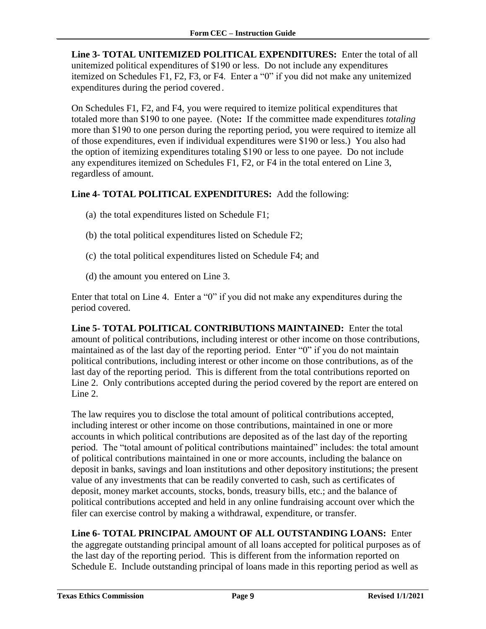**Line 3- TOTAL UNITEMIZED POLITICAL EXPENDITURES:** Enter the total of all unitemized political expenditures of \$190 or less. Do not include any expenditures itemized on Schedules F1, F2, F3, or F4. Enter a "0" if you did not make any unitemized expenditures during the period covered*.*

On Schedules F1, F2, and F4, you were required to itemize political expenditures that totaled more than \$190 to one payee. (Note**:** If the committee made expenditures *totaling* more than \$190 to one person during the reporting period, you were required to itemize all of those expenditures, even if individual expenditures were \$190 or less.) You also had the option of itemizing expenditures totaling \$190 or less to one payee. Do not include any expenditures itemized on Schedules F1, F2, or F4 in the total entered on Line 3, regardless of amount.

#### **Line 4- TOTAL POLITICAL EXPENDITURES:** Add the following:

- (a) the total expenditures listed on Schedule F1;
- (b) the total political expenditures listed on Schedule F2;
- (c) the total political expenditures listed on Schedule F4; and
- (d) the amount you entered on Line 3.

Enter that total on Line 4. Enter a "0" if you did not make any expenditures during the period covered.

**Line 5- TOTAL POLITICAL CONTRIBUTIONS MAINTAINED:** Enter the total amount of political contributions, including interest or other income on those contributions, maintained as of the last day of the reporting period. Enter "0" if you do not maintain political contributions, including interest or other income on those contributions, as of the last day of the reporting period. This is different from the total contributions reported on Line 2. Only contributions accepted during the period covered by the report are entered on Line 2.

The law requires you to disclose the total amount of political contributions accepted, including interest or other income on those contributions, maintained in one or more accounts in which political contributions are deposited as of the last day of the reporting period. The "total amount of political contributions maintained" includes: the total amount of political contributions maintained in one or more accounts, including the balance on deposit in banks, savings and loan institutions and other depository institutions; the present value of any investments that can be readily converted to cash, such as certificates of deposit, money market accounts, stocks, bonds, treasury bills, etc.; and the balance of political contributions accepted and held in any online fundraising account over which the filer can exercise control by making a withdrawal, expenditure, or transfer.

**Line 6- TOTAL PRINCIPAL AMOUNT OF ALL OUTSTANDING LOANS:** Enter the aggregate outstanding principal amount of all loans accepted for political purposes as of the last day of the reporting period. This is different from the information reported on Schedule E. Include outstanding principal of loans made in this reporting period as well as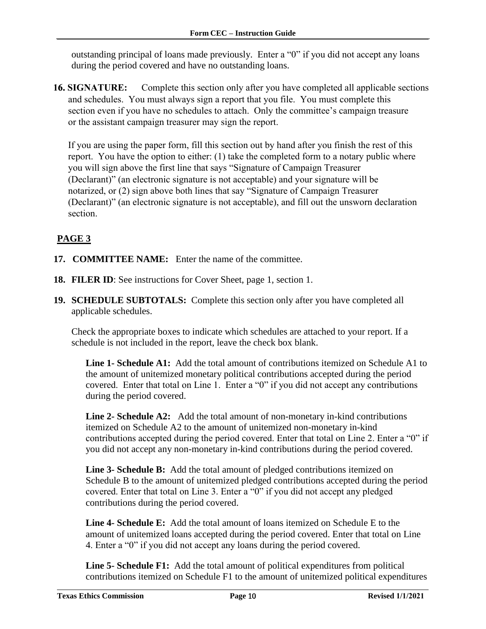outstanding principal of loans made previously. Enter a "0" if you did not accept any loans during the period covered and have no outstanding loans.

**16. SIGNATURE:** Complete this section only after you have completed all applicable sections and schedules. You must always sign a report that you file. You must complete this section even if you have no schedules to attach. Only the committee's campaign treasure or the assistant campaign treasurer may sign the report.

<span id="page-11-0"></span>If you are using the paper form, fill this section out by hand after you finish the rest of this report. You have the option to either: (1) take the completed form to a notary public where you will sign above the first line that says "Signature of Campaign Treasurer (Declarant)" (an electronic signature is not acceptable) and your signature will be notarized, or (2) sign above both lines that say "Signature of Campaign Treasurer (Declarant)" (an electronic signature is not acceptable), and fill out the unsworn declaration section.

### **PAGE 3**

- **17. COMMITTEE NAME:** Enter the name of the committee.
- **18. FILER ID:** See instructions for Cover Sheet, page 1, section 1.
- **19. SCHEDULE SUBTOTALS:** Complete this section only after you have completed all applicable schedules.

Check the appropriate boxes to indicate which schedules are attached to your report. If a schedule is not included in the report, leave the check box blank.

**Line 1- Schedule A1:** Add the total amount of contributions itemized on Schedule A1 to the amount of unitemized monetary political contributions accepted during the period covered. Enter that total on Line 1. Enter a "0" if you did not accept any contributions during the period covered.

**Line 2- Schedule A2:** Add the total amount of non-monetary in-kind contributions itemized on Schedule A2 to the amount of unitemized non-monetary in-kind contributions accepted during the period covered. Enter that total on Line 2. Enter a "0" if you did not accept any non-monetary in-kind contributions during the period covered.

**Line 3- Schedule B:** Add the total amount of pledged contributions itemized on Schedule B to the amount of unitemized pledged contributions accepted during the period covered. Enter that total on Line 3. Enter a "0" if you did not accept any pledged contributions during the period covered.

**Line 4- Schedule E:** Add the total amount of loans itemized on Schedule E to the amount of unitemized loans accepted during the period covered. Enter that total on Line 4. Enter a "0" if you did not accept any loans during the period covered.

**Line 5- Schedule F1:** Add the total amount of political expenditures from political contributions itemized on Schedule F1 to the amount of unitemized political expenditures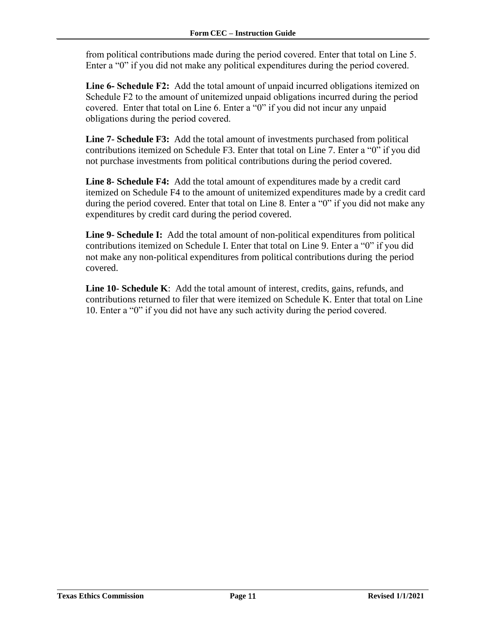from political contributions made during the period covered. Enter that total on Line 5. Enter a "0" if you did not make any political expenditures during the period covered.

**Line 6- Schedule F2:** Add the total amount of unpaid incurred obligations itemized on Schedule F2 to the amount of unitemized unpaid obligations incurred during the period covered. Enter that total on Line 6. Enter a "0" if you did not incur any unpaid obligations during the period covered.

**Line 7- Schedule F3:** Add the total amount of investments purchased from political contributions itemized on Schedule F3. Enter that total on Line 7. Enter a "0" if you did not purchase investments from political contributions during the period covered.

**Line 8- Schedule F4:** Add the total amount of expenditures made by a credit card itemized on Schedule F4 to the amount of unitemized expenditures made by a credit card during the period covered. Enter that total on Line 8. Enter a "0" if you did not make any expenditures by credit card during the period covered.

Line 9- Schedule I: Add the total amount of non-political expenditures from political contributions itemized on Schedule I. Enter that total on Line 9. Enter a "0" if you did not make any non-political expenditures from political contributions during the period covered.

**Line 10- Schedule K**: Add the total amount of interest, credits, gains, refunds, and contributions returned to filer that were itemized on Schedule K. Enter that total on Line 10. Enter a "0" if you did not have any such activity during the period covered.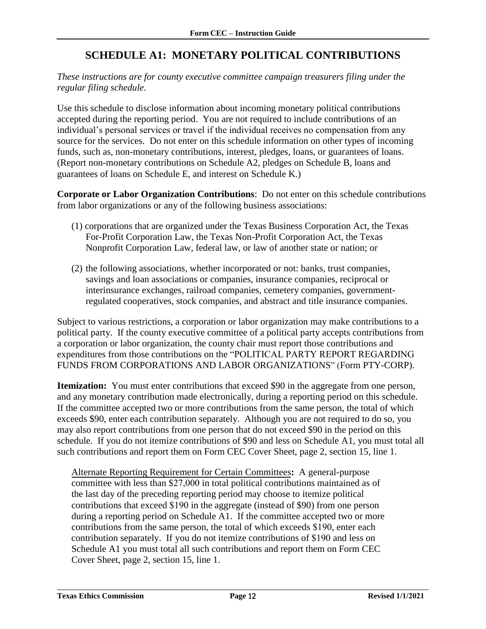### **SCHEDULE A1: MONETARY POLITICAL CONTRIBUTIONS**

#### <span id="page-13-0"></span>*These instructions are for county executive committee campaign treasurers filing under the regular filing schedule.*

Use this schedule to disclose information about incoming monetary political contributions accepted during the reporting period. You are not required to include contributions of an individual's personal services or travel if the individual receives no compensation from any source for the services. Do not enter on this schedule information on other types of incoming funds, such as, non-monetary contributions, interest, pledges, loans, or guarantees of loans. (Report non-monetary contributions on Schedule A2, pledges on Schedule B, loans and guarantees of loans on Schedule E, and interest on Schedule K.)

**Corporate or Labor Organization Contributions**: Do not enter on this schedule contributions from labor organizations or any of the following business associations:

- (1) corporations that are organized under the Texas Business Corporation Act, the Texas For-Profit Corporation Law, the Texas Non-Profit Corporation Act, the Texas Nonprofit Corporation Law, federal law, or law of another state or nation; or
- (2) the following associations, whether incorporated or not: banks, trust companies, savings and loan associations or companies, insurance companies, reciprocal or interinsurance exchanges, railroad companies, cemetery companies, governmentregulated cooperatives, stock companies, and abstract and title insurance companies.

Subject to various restrictions, a corporation or labor organization may make contributions to a political party. If the county executive committee of a political party accepts contributions from a corporation or labor organization, the county chair must report those contributions and expenditures from those contributions on the "POLITICAL PARTY REPORT REGARDING FUNDS FROM CORPORATIONS AND LABOR ORGANIZATIONS" (Form PTY-CORP).

**Itemization:** You must enter contributions that exceed \$90 in the aggregate from one person, and any monetary contribution made electronically, during a reporting period on this schedule. If the committee accepted two or more contributions from the same person, the total of which exceeds \$90, enter each contribution separately. Although you are not required to do so, you may also report contributions from one person that do not exceed \$90 in the period on this schedule. If you do not itemize contributions of \$90 and less on Schedule A1, you must total all such contributions and report them on Form CEC Cover Sheet, page 2, section 15, line 1.

Alternate Reporting Requirement for Certain Committees**:** A general-purpose committee with less than \$27,000 in total political contributions maintained as of the last day of the preceding reporting period may choose to itemize political contributions that exceed \$190 in the aggregate (instead of \$90) from one person during a reporting period on Schedule A1. If the committee accepted two or more contributions from the same person, the total of which exceeds \$190, enter each contribution separately. If you do not itemize contributions of \$190 and less on Schedule A1 you must total all such contributions and report them on Form CEC Cover Sheet, page 2, section 15, line 1.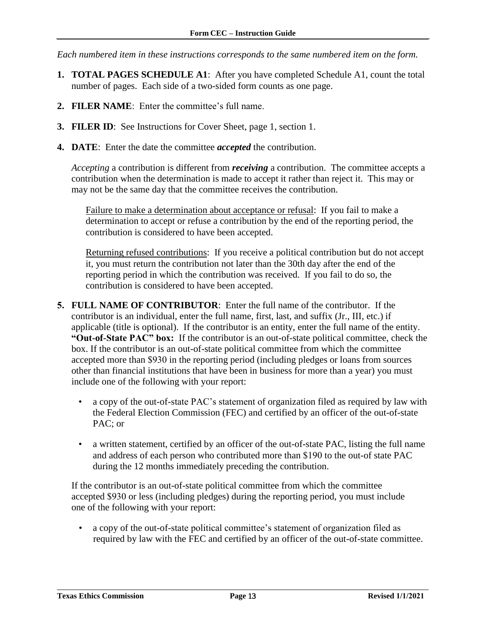*Each numbered item in these instructions corresponds to the same numbered item on the form.*

- **1. TOTAL PAGES SCHEDULE A1**: After you have completed Schedule A1, count the total number of pages. Each side of a two-sided form counts as one page.
- **2. FILER NAME**: Enter the committee's full name.
- **3. FILER ID**: See Instructions for Cover Sheet, page 1, section 1.
- **4. DATE**: Enter the date the committee *accepted* the contribution.

*Accepting* a contribution is different from *receiving* a contribution. The committee accepts a contribution when the determination is made to accept it rather than reject it. This may or may not be the same day that the committee receives the contribution.

Failure to make a determination about acceptance or refusal: If you fail to make a determination to accept or refuse a contribution by the end of the reporting period, the contribution is considered to have been accepted.

Returning refused contributions: If you receive a political contribution but do not accept it, you must return the contribution not later than the 30th day after the end of the reporting period in which the contribution was received. If you fail to do so, the contribution is considered to have been accepted.

- **5. FULL NAME OF CONTRIBUTOR**: Enter the full name of the contributor. If the contributor is an individual, enter the full name, first, last, and suffix (Jr., III, etc.) if applicable (title is optional). If the contributor is an entity, enter the full name of the entity. **"Out-of-State PAC" box:** If the contributor is an out-of-state political committee, check the box. If the contributor is an out-of-state political committee from which the committee accepted more than \$930 in the reporting period (including pledges or loans from sources other than financial institutions that have been in business for more than a year) you must include one of the following with your report:
	- a copy of the out-of-state PAC's statement of organization filed as required by law with the Federal Election Commission (FEC) and certified by an officer of the out-of-state PAC; or
	- a written statement, certified by an officer of the out-of-state PAC, listing the full name and address of each person who contributed more than \$190 to the out-of state PAC during the 12 months immediately preceding the contribution.

If the contributor is an out-of-state political committee from which the committee accepted \$930 or less (including pledges) during the reporting period, you must include one of the following with your report:

• a copy of the out-of-state political committee's statement of organization filed as required by law with the FEC and certified by an officer of the out-of-state committee.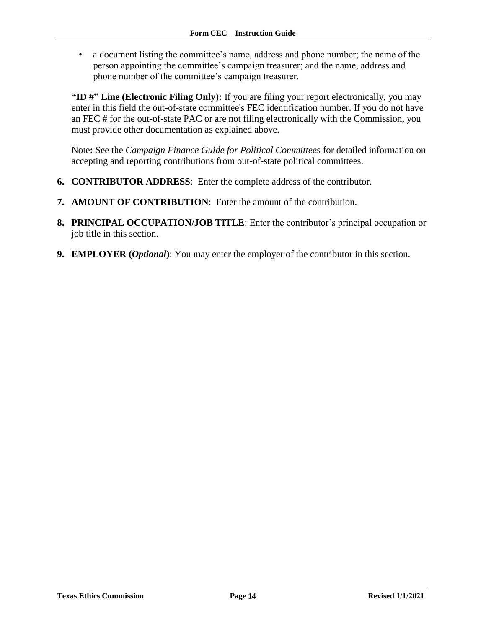• a document listing the committee's name, address and phone number; the name of the person appointing the committee's campaign treasurer; and the name, address and phone number of the committee's campaign treasurer.

**"ID #" Line (Electronic Filing Only):** If you are filing your report electronically, you may enter in this field the out-of-state committee's FEC identification number. If you do not have an FEC # for the out-of-state PAC or are not filing electronically with the Commission, you must provide other documentation as explained above.

Note**:** See the *Campaign Finance Guide for Political Committees* for detailed information on accepting and reporting contributions from out-of-state political committees.

- **6. CONTRIBUTOR ADDRESS**: Enter the complete address of the contributor.
- **7. AMOUNT OF CONTRIBUTION**: Enter the amount of the contribution.
- **8. PRINCIPAL OCCUPATION/JOB TITLE**: Enter the contributor's principal occupation or job title in this section.
- **9. EMPLOYER (***Optional***)**: You may enter the employer of the contributor in this section.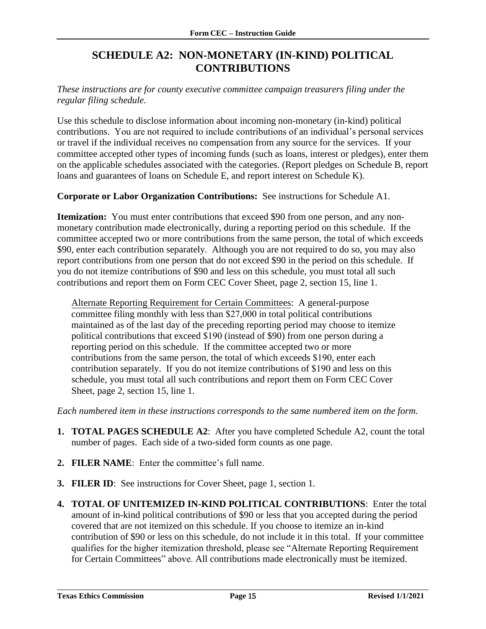### **SCHEDULE A2: NON-MONETARY (IN-KIND) POLITICAL CONTRIBUTIONS**

<span id="page-16-0"></span>*These instructions are for county executive committee campaign treasurers filing under the regular filing schedule.*

Use this schedule to disclose information about incoming non-monetary (in-kind) political contributions. You are not required to include contributions of an individual's personal services or travel if the individual receives no compensation from any source for the services. If your committee accepted other types of incoming funds (such as loans, interest or pledges), enter them on the applicable schedules associated with the categories. (Report pledges on Schedule B, report loans and guarantees of loans on Schedule E, and report interest on Schedule K).

**Corporate or Labor Organization Contributions:** See instructions for Schedule A1.

**Itemization:** You must enter contributions that exceed \$90 from one person, and any nonmonetary contribution made electronically, during a reporting period on this schedule. If the committee accepted two or more contributions from the same person, the total of which exceeds \$90, enter each contribution separately. Although you are not required to do so, you may also report contributions from one person that do not exceed \$90 in the period on this schedule. If you do not itemize contributions of \$90 and less on this schedule, you must total all such contributions and report them on Form CEC Cover Sheet, page 2, section 15, line 1.

Alternate Reporting Requirement for Certain Committees: A general-purpose committee filing monthly with less than \$27,000 in total political contributions maintained as of the last day of the preceding reporting period may choose to itemize political contributions that exceed \$190 (instead of \$90) from one person during a reporting period on this schedule. If the committee accepted two or more contributions from the same person, the total of which exceeds \$190, enter each contribution separately. If you do not itemize contributions of \$190 and less on this schedule, you must total all such contributions and report them on Form CEC Cover Sheet, page 2, section 15, line 1.

*Each numbered item in these instructions corresponds to the same numbered item on the form.*

- **1. TOTAL PAGES SCHEDULE A2**: After you have completed Schedule A2, count the total number of pages. Each side of a two-sided form counts as one page.
- **2. FILER NAME**: Enter the committee's full name.
- **3. FILER ID**: See instructions for Cover Sheet, page 1, section 1*.*
- **4. TOTAL OF UNITEMIZED IN-KIND POLITICAL CONTRIBUTIONS**: Enter the total amount of in-kind political contributions of \$90 or less that you accepted during the period covered that are not itemized on this schedule. If you choose to itemize an in-kind contribution of \$90 or less on this schedule, do not include it in this total. If your committee qualifies for the higher itemization threshold, please see "Alternate Reporting Requirement for Certain Committees" above. All contributions made electronically must be itemized.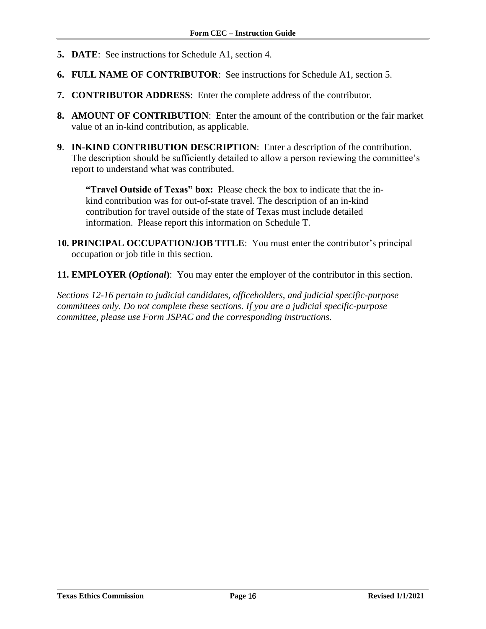- **5. DATE**: See instructions for Schedule A1, section 4.
- **6. FULL NAME OF CONTRIBUTOR**: See instructions for Schedule A1, section 5.
- **7. CONTRIBUTOR ADDRESS**: Enter the complete address of the contributor.
- **8. AMOUNT OF CONTRIBUTION**: Enter the amount of the contribution or the fair market value of an in-kind contribution, as applicable.
- **9**. **IN-KIND CONTRIBUTION DESCRIPTION**: Enter a description of the contribution. The description should be sufficiently detailed to allow a person reviewing the committee's report to understand what was contributed.

**"Travel Outside of Texas" box:** Please check the box to indicate that the inkind contribution was for out-of-state travel. The description of an in-kind contribution for travel outside of the state of Texas must include detailed information. Please report this information on Schedule T.

- **10. PRINCIPAL OCCUPATION/JOB TITLE**: You must enter the contributor's principal occupation or job title in this section.
- **11. EMPLOYER (***Optional***)**: You may enter the employer of the contributor in this section.

*Sections 12-16 pertain to judicial candidates, officeholders, and judicial specific-purpose committees only. Do not complete these sections. If you are a judicial specific-purpose committee, please use Form JSPAC and the corresponding instructions.*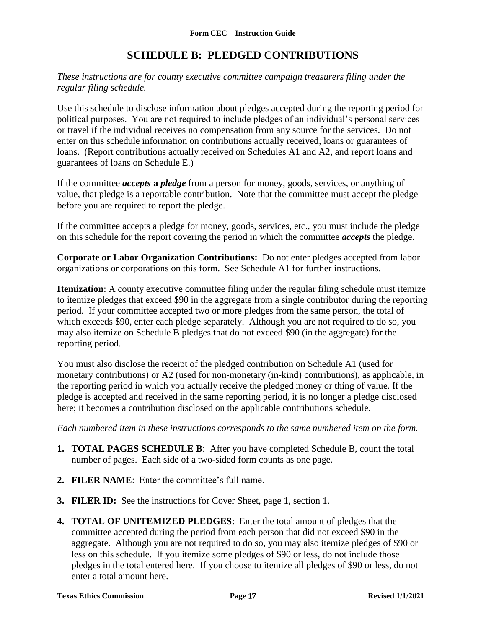### **SCHEDULE B: PLEDGED CONTRIBUTIONS**

<span id="page-18-0"></span>*These instructions are for county executive committee campaign treasurers filing under the regular filing schedule.*

Use this schedule to disclose information about pledges accepted during the reporting period for political purposes. You are not required to include pledges of an individual's personal services or travel if the individual receives no compensation from any source for the services. Do not enter on this schedule information on contributions actually received, loans or guarantees of loans. (Report contributions actually received on Schedules A1 and A2, and report loans and guarantees of loans on Schedule E.)

If the committee *accepts* **a** *pledge* from a person for money, goods, services, or anything of value, that pledge is a reportable contribution. Note that the committee must accept the pledge before you are required to report the pledge.

If the committee accepts a pledge for money, goods, services, etc., you must include the pledge on this schedule for the report covering the period in which the committee *accepts* the pledge.

**Corporate or Labor Organization Contributions:** Do not enter pledges accepted from labor organizations or corporations on this form. See Schedule A1 for further instructions.

**Itemization**: A county executive committee filing under the regular filing schedule must itemize to itemize pledges that exceed \$90 in the aggregate from a single contributor during the reporting period. If your committee accepted two or more pledges from the same person, the total of which exceeds \$90, enter each pledge separately. Although you are not required to do so, you may also itemize on Schedule B pledges that do not exceed \$90 (in the aggregate) for the reporting period.

You must also disclose the receipt of the pledged contribution on Schedule A1 (used for monetary contributions) or A2 (used for non-monetary (in-kind) contributions), as applicable, in the reporting period in which you actually receive the pledged money or thing of value. If the pledge is accepted and received in the same reporting period, it is no longer a pledge disclosed here; it becomes a contribution disclosed on the applicable contributions schedule.

*Each numbered item in these instructions corresponds to the same numbered item on the form.*

- **1. TOTAL PAGES SCHEDULE B**: After you have completed Schedule B, count the total number of pages. Each side of a two-sided form counts as one page.
- **2. FILER NAME**: Enter the committee's full name.
- **3. FILER ID:** See the instructions for Cover Sheet, page 1, section 1.
- **4. TOTAL OF UNITEMIZED PLEDGES**: Enter the total amount of pledges that the committee accepted during the period from each person that did not exceed \$90 in the aggregate. Although you are not required to do so, you may also itemize pledges of \$90 or less on this schedule. If you itemize some pledges of \$90 or less, do not include those pledges in the total entered here. If you choose to itemize all pledges of \$90 or less, do not enter a total amount here.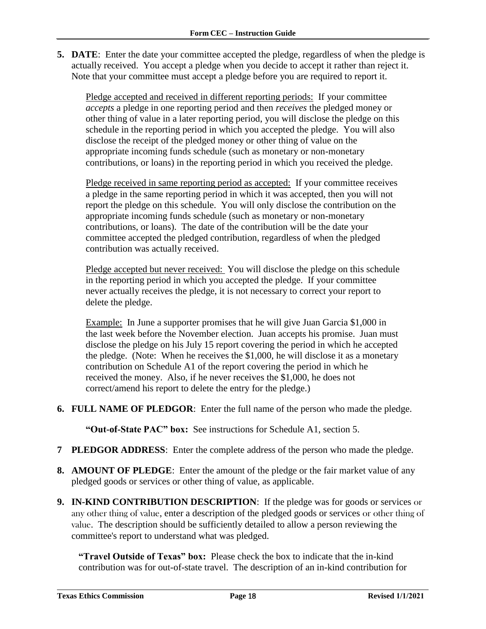**5. DATE**: Enter the date your committee accepted the pledge, regardless of when the pledge is actually received. You accept a pledge when you decide to accept it rather than reject it. Note that your committee must accept a pledge before you are required to report it.

Pledge accepted and received in different reporting periods: If your committee *accepts* a pledge in one reporting period and then *receives* the pledged money or other thing of value in a later reporting period, you will disclose the pledge on this schedule in the reporting period in which you accepted the pledge. You will also disclose the receipt of the pledged money or other thing of value on the appropriate incoming funds schedule (such as monetary or non-monetary contributions, or loans) in the reporting period in which you received the pledge.

Pledge received in same reporting period as accepted: If your committee receives a pledge in the same reporting period in which it was accepted, then you will not report the pledge on this schedule. You will only disclose the contribution on the appropriate incoming funds schedule (such as monetary or non-monetary contributions, or loans). The date of the contribution will be the date your committee accepted the pledged contribution, regardless of when the pledged contribution was actually received.

Pledge accepted but never received: You will disclose the pledge on this schedule in the reporting period in which you accepted the pledge. If your committee never actually receives the pledge, it is not necessary to correct your report to delete the pledge.

Example: In June a supporter promises that he will give Juan Garcia \$1,000 in the last week before the November election. Juan accepts his promise. Juan must disclose the pledge on his July 15 report covering the period in which he accepted the pledge. (Note: When he receives the \$1,000, he will disclose it as a monetary contribution on Schedule A1 of the report covering the period in which he received the money. Also, if he never receives the \$1,000, he does not correct/amend his report to delete the entry for the pledge.)

**6. FULL NAME OF PLEDGOR**: Enter the full name of the person who made the pledge.

**"Out-of-State PAC" box:** See instructions for Schedule A1, section 5.

- **7 PLEDGOR ADDRESS**: Enter the complete address of the person who made the pledge.
- **8. AMOUNT OF PLEDGE**: Enter the amount of the pledge or the fair market value of any pledged goods or services or other thing of value, as applicable.
- **9. IN-KIND CONTRIBUTION DESCRIPTION**: If the pledge was for goods or services or any other thing of value, enter a description of the pledged goods or services or other thing of value. The description should be sufficiently detailed to allow a person reviewing the committee's report to understand what was pledged.

**"Travel Outside of Texas" box:** Please check the box to indicate that the in-kind contribution was for out-of-state travel.The description of an in-kind contribution for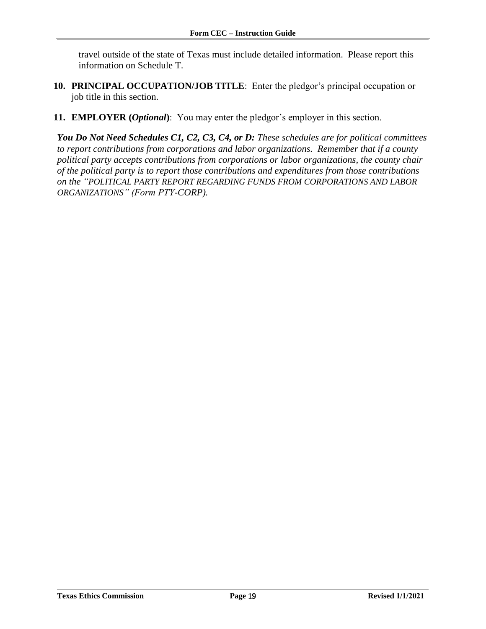travel outside of the state of Texas must include detailed information. Please report this information on Schedule T.

- **10. PRINCIPAL OCCUPATION/JOB TITLE**: Enter the pledgor's principal occupation or job title in this section.
- **11. EMPLOYER (***Optional***)**: You may enter the pledgor's employer in this section.

*You Do Not Need Schedules C1, C2, C3, C4, or D: These schedules are for political committees to report contributions from corporations and labor organizations. Remember that if a county political party accepts contributions from corporations or labor organizations, the county chair of the political party is to report those contributions and expenditures from those contributions on the "POLITICAL PARTY REPORT REGARDING FUNDS FROM CORPORATIONS AND LABOR ORGANIZATIONS" (Form PTY-CORP).*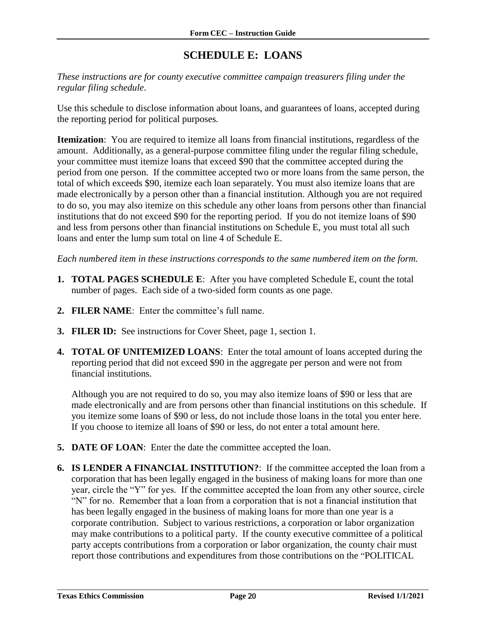### **SCHEDULE E: LOANS**

<span id="page-21-0"></span>*These instructions are for county executive committee campaign treasurers filing under the regular filing schedule*.

Use this schedule to disclose information about loans, and guarantees of loans, accepted during the reporting period for political purposes*.*

**Itemization**: You are required to itemize all loans from financial institutions, regardless of the amount. Additionally, as a general-purpose committee filing under the regular filing schedule, your committee must itemize loans that exceed \$90 that the committee accepted during the period from one person. If the committee accepted two or more loans from the same person, the total of which exceeds \$90, itemize each loan separately. You must also itemize loans that are made electronically by a person other than a financial institution. Although you are not required to do so, you may also itemize on this schedule any other loans from persons other than financial institutions that do not exceed \$90 for the reporting period. If you do not itemize loans of \$90 and less from persons other than financial institutions on Schedule E, you must total all such loans and enter the lump sum total on line 4 of Schedule E.

*Each numbered item in these instructions corresponds to the same numbered item on the form.*

- **1. TOTAL PAGES SCHEDULE E**: After you have completed Schedule E, count the total number of pages. Each side of a two-sided form counts as one page.
- **2. FILER NAME**: Enter the committee's full name.
- **3. FILER ID:** See instructions for Cover Sheet, page 1, section 1.
- **4. TOTAL OF UNITEMIZED LOANS**: Enter the total amount of loans accepted during the reporting period that did not exceed \$90 in the aggregate per person and were not from financial institutions.

Although you are not required to do so, you may also itemize loans of \$90 or less that are made electronically and are from persons other than financial institutions on this schedule. If you itemize some loans of \$90 or less, do not include those loans in the total you enter here. If you choose to itemize all loans of \$90 or less, do not enter a total amount here.

- **5. DATE OF LOAN**: Enter the date the committee accepted the loan.
- **6. IS LENDER A FINANCIAL INSTITUTION?**: If the committee accepted the loan from a corporation that has been legally engaged in the business of making loans for more than one year, circle the "Y" for yes. If the committee accepted the loan from any other source, circle "N" for no. Remember that a loan from a corporation that is not a financial institution that has been legally engaged in the business of making loans for more than one year is a corporate contribution. Subject to various restrictions, a corporation or labor organization may make contributions to a political party. If the county executive committee of a political party accepts contributions from a corporation or labor organization, the county chair must report those contributions and expenditures from those contributions on the "POLITICAL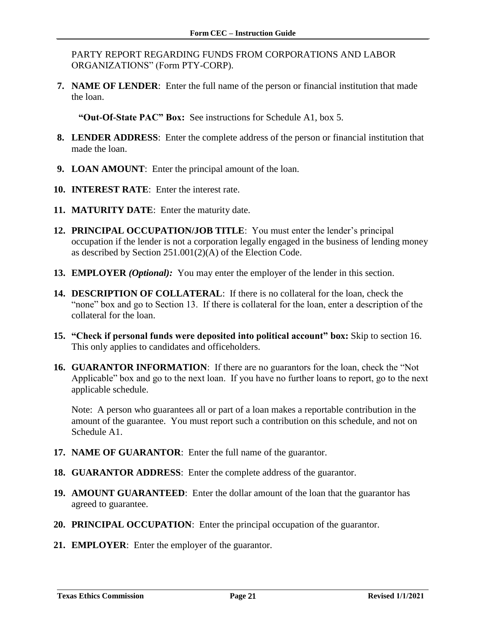PARTY REPORT REGARDING FUNDS FROM CORPORATIONS AND LABOR ORGANIZATIONS" (Form PTY-CORP).

**7. NAME OF LENDER**: Enter the full name of the person or financial institution that made the loan.

**"Out-Of-State PAC" Box:** See instructions for Schedule A1, box 5.

- **8. LENDER ADDRESS**: Enter the complete address of the person or financial institution that made the loan.
- **9. LOAN AMOUNT**: Enter the principal amount of the loan.
- **10. INTEREST RATE**: Enter the interest rate.
- **11. MATURITY DATE**: Enter the maturity date.
- **12. PRINCIPAL OCCUPATION/JOB TITLE**: You must enter the lender's principal occupation if the lender is not a corporation legally engaged in the business of lending money as described by Section 251.001(2)(A) of the Election Code.
- **13. EMPLOYER** *(Optional):* You may enter the employer of the lender in this section.
- **14. DESCRIPTION OF COLLATERAL**: If there is no collateral for the loan, check the "none" box and go to Section 13. If there is collateral for the loan, enter a description of the collateral for the loan.
- **15. "Check if personal funds were deposited into political account" box:** Skip to section 16. This only applies to candidates and officeholders.
- **16. GUARANTOR INFORMATION**: If there are no guarantors for the loan, check the "Not Applicable" box and go to the next loan. If you have no further loans to report, go to the next applicable schedule.

Note: A person who guarantees all or part of a loan makes a reportable contribution in the amount of the guarantee. You must report such a contribution on this schedule, and not on Schedule A1.

- **17. NAME OF GUARANTOR**: Enter the full name of the guarantor.
- **18. GUARANTOR ADDRESS**: Enter the complete address of the guarantor.
- **19. AMOUNT GUARANTEED**: Enter the dollar amount of the loan that the guarantor has agreed to guarantee.
- **20. PRINCIPAL OCCUPATION**: Enter the principal occupation of the guarantor.
- **21. EMPLOYER**: Enter the employer of the guarantor.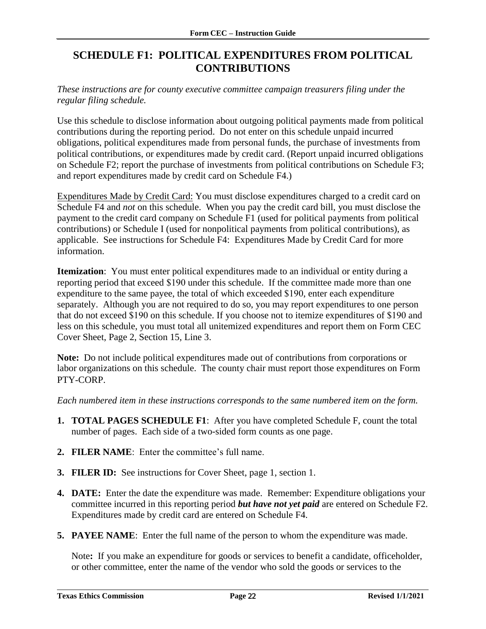### <span id="page-23-0"></span>**SCHEDULE F1: POLITICAL EXPENDITURES FROM POLITICAL CONTRIBUTIONS**

*These instructions are for county executive committee campaign treasurers filing under the regular filing schedule.* 

Use this schedule to disclose information about outgoing political payments made from political contributions during the reporting period. Do not enter on this schedule unpaid incurred obligations, political expenditures made from personal funds, the purchase of investments from political contributions, or expenditures made by credit card. (Report unpaid incurred obligations on Schedule F2; report the purchase of investments from political contributions on Schedule F3; and report expenditures made by credit card on Schedule F4.)

Expenditures Made by Credit Card: You must disclose expenditures charged to a credit card on Schedule F4 and *not* on this schedule. When you pay the credit card bill, you must disclose the payment to the credit card company on Schedule F1 (used for political payments from political contributions) or Schedule I (used for nonpolitical payments from political contributions), as applicable. See instructions for Schedule F4: Expenditures Made by Credit Card for more information.

**Itemization**: You must enter political expenditures made to an individual or entity during a reporting period that exceed \$190 under this schedule. If the committee made more than one expenditure to the same payee, the total of which exceeded \$190, enter each expenditure separately. Although you are not required to do so, you may report expenditures to one person that do not exceed \$190 on this schedule. If you choose not to itemize expenditures of \$190 and less on this schedule, you must total all unitemized expenditures and report them on Form CEC Cover Sheet, Page 2, Section 15, Line 3.

**Note:** Do not include political expenditures made out of contributions from corporations or labor organizations on this schedule. The county chair must report those expenditures on Form PTY-CORP.

*Each numbered item in these instructions corresponds to the same numbered item on the form.*

- **1. TOTAL PAGES SCHEDULE F1**: After you have completed Schedule F, count the total number of pages. Each side of a two-sided form counts as one page.
- **2. FILER NAME**: Enter the committee's full name.
- **3. FILER ID:** See instructions for Cover Sheet, page 1, section 1.
- **4. DATE:** Enter the date the expenditure was made. Remember: Expenditure obligations your committee incurred in this reporting period *but have not yet paid* are entered on Schedule F2. Expenditures made by credit card are entered on Schedule F4.
- **5. PAYEE NAME**: Enter the full name of the person to whom the expenditure was made.

Note**:** If you make an expenditure for goods or services to benefit a candidate, officeholder, or other committee, enter the name of the vendor who sold the goods or services to the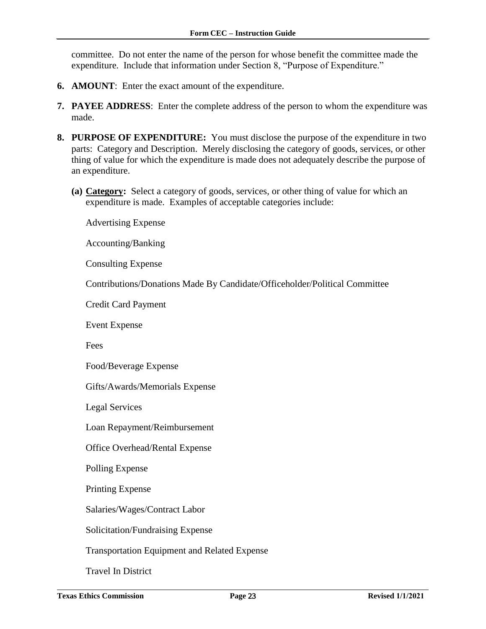committee. Do not enter the name of the person for whose benefit the committee made the expenditure. Include that information under Section 8, "Purpose of Expenditure."

- **6. AMOUNT**: Enter the exact amount of the expenditure.
- **7. PAYEE ADDRESS**: Enter the complete address of the person to whom the expenditure was made.
- **8. PURPOSE OF EXPENDITURE:** You must disclose the purpose of the expenditure in two parts: Category and Description. Merely disclosing the category of goods, services, or other thing of value for which the expenditure is made does not adequately describe the purpose of an expenditure.
	- **(a) Category:** Select a category of goods, services, or other thing of value for which an expenditure is made. Examples of acceptable categories include:

Advertising Expense

Accounting/Banking

Consulting Expense

Contributions/Donations Made By Candidate/Officeholder/Political Committee

Credit Card Payment

Event Expense

Fees

Food/Beverage Expense

Gifts/Awards/Memorials Expense

Legal Services

Loan Repayment/Reimbursement

Office Overhead/Rental Expense

Polling Expense

Printing Expense

Salaries/Wages/Contract Labor

Solicitation/Fundraising Expense

Transportation Equipment and Related Expense

Travel In District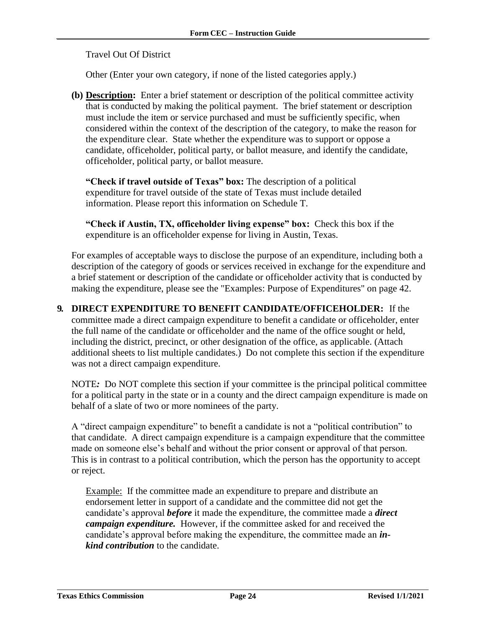Travel Out Of District

Other (Enter your own category, if none of the listed categories apply.)

**(b) Description:** Enter a brief statement or description of the political committee activity that is conducted by making the political payment. The brief statement or description must include the item or service purchased and must be sufficiently specific, when considered within the context of the description of the category, to make the reason for the expenditure clear. State whether the expenditure was to support or oppose a candidate, officeholder, political party, or ballot measure, and identify the candidate, officeholder, political party, or ballot measure.

**"Check if travel outside of Texas" box:** The description of a political expenditure for travel outside of the state of Texas must include detailed information. Please report this information on Schedule T.

**"Check if Austin, TX, officeholder living expense" box:** Check this box if the expenditure is an officeholder expense for living in Austin, Texas.

For examples of acceptable ways to disclose the purpose of an expenditure, including both a description of the category of goods or services received in exchange for the expenditure and a brief statement or description of the candidate or officeholder activity that is conducted by making the expenditure, please see the "Examples: Purpose of Expenditures" on page 42.

**9. DIRECT EXPENDITURE TO BENEFIT CANDIDATE/OFFICEHOLDER:** If the committee made a direct campaign expenditure to benefit a candidate or officeholder, enter the full name of the candidate or officeholder and the name of the office sought or held, including the district, precinct, or other designation of the office, as applicable. (Attach additional sheets to list multiple candidates.) Do not complete this section if the expenditure was not a direct campaign expenditure.

NOTE*:* Do NOT complete this section if your committee is the principal political committee for a political party in the state or in a county and the direct campaign expenditure is made on behalf of a slate of two or more nominees of the party.

A "direct campaign expenditure" to benefit a candidate is not a "political contribution" to that candidate. A direct campaign expenditure is a campaign expenditure that the committee made on someone else's behalf and without the prior consent or approval of that person. This is in contrast to a political contribution, which the person has the opportunity to accept or reject.

Example: If the committee made an expenditure to prepare and distribute an endorsement letter in support of a candidate and the committee did not get the candidate's approval *before* it made the expenditure, the committee made a *direct campaign expenditure.* However, if the committee asked for and received the candidate's approval before making the expenditure, the committee made an *inkind contribution* to the candidate.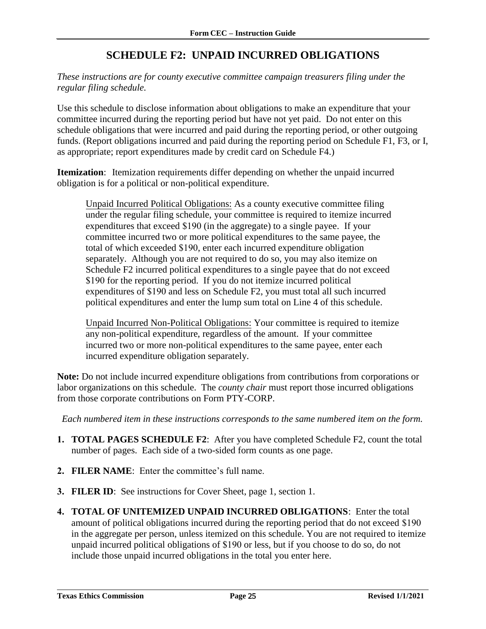### **SCHEDULE F2: UNPAID INCURRED OBLIGATIONS**

<span id="page-26-0"></span>*These instructions are for county executive committee campaign treasurers filing under the regular filing schedule.*

Use this schedule to disclose information about obligations to make an expenditure that your committee incurred during the reporting period but have not yet paid. Do not enter on this schedule obligations that were incurred and paid during the reporting period, or other outgoing funds. (Report obligations incurred and paid during the reporting period on Schedule F1, F3, or I, as appropriate; report expenditures made by credit card on Schedule F4.)

**Itemization**: Itemization requirements differ depending on whether the unpaid incurred obligation is for a political or non-political expenditure.

Unpaid Incurred Political Obligations: As a county executive committee filing under the regular filing schedule, your committee is required to itemize incurred expenditures that exceed \$190 (in the aggregate) to a single payee. If your committee incurred two or more political expenditures to the same payee, the total of which exceeded \$190, enter each incurred expenditure obligation separately. Although you are not required to do so, you may also itemize on Schedule F2 incurred political expenditures to a single payee that do not exceed \$190 for the reporting period. If you do not itemize incurred political expenditures of \$190 and less on Schedule F2, you must total all such incurred political expenditures and enter the lump sum total on Line 4 of this schedule.

Unpaid Incurred Non-Political Obligations: Your committee is required to itemize any non-political expenditure, regardless of the amount. If your committee incurred two or more non-political expenditures to the same payee, enter each incurred expenditure obligation separately.

**Note:** Do not include incurred expenditure obligations from contributions from corporations or labor organizations on this schedule. The *county chair* must report those incurred obligations from those corporate contributions on Form PTY-CORP.

*Each numbered item in these instructions corresponds to the same numbered item on the form.*

- **1. TOTAL PAGES SCHEDULE F2**: After you have completed Schedule F2, count the total number of pages. Each side of a two-sided form counts as one page.
- **2. FILER NAME**: Enter the committee's full name.
- **3. FILER ID**: See instructions for Cover Sheet, page 1, section 1.
- **4. TOTAL OF UNITEMIZED UNPAID INCURRED OBLIGATIONS**: Enter the total amount of political obligations incurred during the reporting period that do not exceed \$190 in the aggregate per person, unless itemized on this schedule. You are not required to itemize unpaid incurred political obligations of \$190 or less, but if you choose to do so, do not include those unpaid incurred obligations in the total you enter here.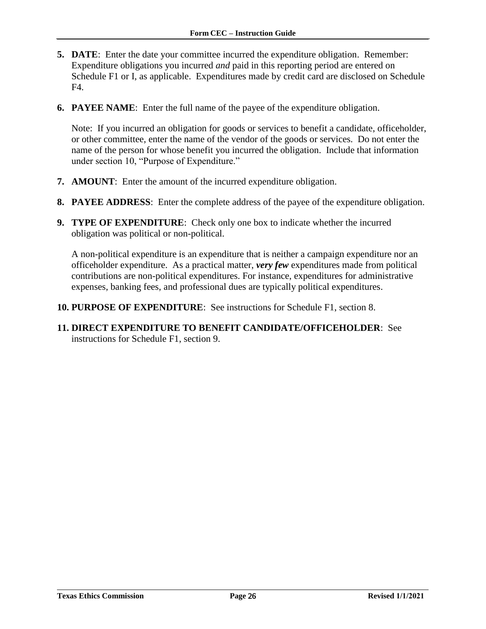- **5. DATE**: Enter the date your committee incurred the expenditure obligation. Remember: Expenditure obligations you incurred *and* paid in this reporting period are entered on Schedule F1 or I, as applicable. Expenditures made by credit card are disclosed on Schedule F4.
- **6. PAYEE NAME**: Enter the full name of the payee of the expenditure obligation.

Note: If you incurred an obligation for goods or services to benefit a candidate, officeholder, or other committee, enter the name of the vendor of the goods or services. Do not enter the name of the person for whose benefit you incurred the obligation. Include that information under section 10, "Purpose of Expenditure."

- **7. AMOUNT**: Enter the amount of the incurred expenditure obligation.
- **8. PAYEE ADDRESS**: Enter the complete address of the payee of the expenditure obligation.
- **9. TYPE OF EXPENDITURE**: Check only one box to indicate whether the incurred obligation was political or non-political.

A non-political expenditure is an expenditure that is neither a campaign expenditure nor an officeholder expenditure. As a practical matter, *very few* expenditures made from political contributions are non-political expenditures. For instance, expenditures for administrative expenses, banking fees, and professional dues are typically political expenditures.

- **10. PURPOSE OF EXPENDITURE**: See instructions for Schedule F1, section 8.
- **11. DIRECT EXPENDITURE TO BENEFIT CANDIDATE/OFFICEHOLDER**: See instructions for Schedule F1, section 9.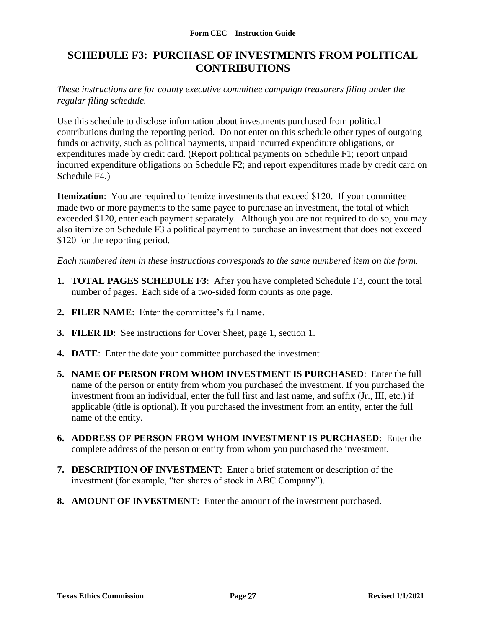### <span id="page-28-0"></span>**SCHEDULE F3: PURCHASE OF INVESTMENTS FROM POLITICAL CONTRIBUTIONS**

*These instructions are for county executive committee campaign treasurers filing under the regular filing schedule.*

Use this schedule to disclose information about investments purchased from political contributions during the reporting period. Do not enter on this schedule other types of outgoing funds or activity, such as political payments, unpaid incurred expenditure obligations, or expenditures made by credit card. (Report political payments on Schedule F1; report unpaid incurred expenditure obligations on Schedule F2; and report expenditures made by credit card on Schedule F4.)

**Itemization**: You are required to itemize investments that exceed \$120. If your committee made two or more payments to the same payee to purchase an investment, the total of which exceeded \$120, enter each payment separately. Although you are not required to do so, you may also itemize on Schedule F3 a political payment to purchase an investment that does not exceed \$120 for the reporting period.

*Each numbered item in these instructions corresponds to the same numbered item on the form.*

- **1. TOTAL PAGES SCHEDULE F3**: After you have completed Schedule F3, count the total number of pages. Each side of a two-sided form counts as one page.
- **2. FILER NAME**: Enter the committee's full name.
- **3. FILER ID**: See instructions for Cover Sheet, page 1, section 1.
- **4. DATE**: Enter the date your committee purchased the investment.
- **5. NAME OF PERSON FROM WHOM INVESTMENT IS PURCHASED**: Enter the full name of the person or entity from whom you purchased the investment. If you purchased the investment from an individual, enter the full first and last name, and suffix (Jr., III, etc.) if applicable (title is optional). If you purchased the investment from an entity, enter the full name of the entity.
- **6. ADDRESS OF PERSON FROM WHOM INVESTMENT IS PURCHASED**: Enter the complete address of the person or entity from whom you purchased the investment.
- **7. DESCRIPTION OF INVESTMENT**: Enter a brief statement or description of the investment (for example, "ten shares of stock in ABC Company").
- **8. AMOUNT OF INVESTMENT**: Enter the amount of the investment purchased.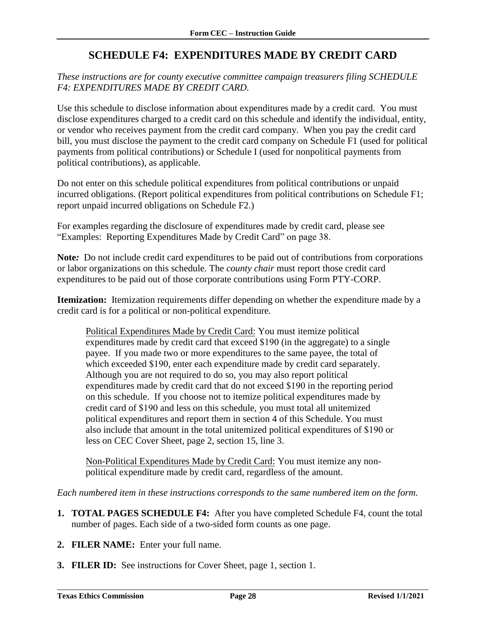### **SCHEDULE F4: EXPENDITURES MADE BY CREDIT CARD**

<span id="page-29-0"></span>*These instructions are for county executive committee campaign treasurers filing SCHEDULE F4: EXPENDITURES MADE BY CREDIT CARD.*

Use this schedule to disclose information about expenditures made by a credit card. You must disclose expenditures charged to a credit card on this schedule and identify the individual, entity, or vendor who receives payment from the credit card company. When you pay the credit card bill, you must disclose the payment to the credit card company on Schedule F1 (used for political payments from political contributions) or Schedule I (used for nonpolitical payments from political contributions), as applicable.

Do not enter on this schedule political expenditures from political contributions or unpaid incurred obligations. (Report political expenditures from political contributions on Schedule F1; report unpaid incurred obligations on Schedule F2.)

For examples regarding the disclosure of expenditures made by credit card, please see "Examples: Reporting Expenditures Made by Credit Card" on page 38.

**Note***:* Do not include credit card expenditures to be paid out of contributions from corporations or labor organizations on this schedule. The *county chair* must report those credit card expenditures to be paid out of those corporate contributions using Form PTY-CORP.

**Itemization:** Itemization requirements differ depending on whether the expenditure made by a credit card is for a political or non-political expenditure.

Political Expenditures Made by Credit Card: You must itemize political expenditures made by credit card that exceed \$190 (in the aggregate) to a single payee. If you made two or more expenditures to the same payee, the total of which exceeded \$190, enter each expenditure made by credit card separately. Although you are not required to do so, you may also report political expenditures made by credit card that do not exceed \$190 in the reporting period on this schedule. If you choose not to itemize political expenditures made by credit card of \$190 and less on this schedule, you must total all unitemized political expenditures and report them in section 4 of this Schedule. You must also include that amount in the total unitemized political expenditures of \$190 or less on CEC Cover Sheet, page 2, section 15, line 3.

Non-Political Expenditures Made by Credit Card: You must itemize any nonpolitical expenditure made by credit card, regardless of the amount.

*Each numbered item in these instructions corresponds to the same numbered item on the form.*

- **1. TOTAL PAGES SCHEDULE F4:** After you have completed Schedule F4, count the total number of pages. Each side of a two-sided form counts as one page.
- **2. FILER NAME:** Enter your full name.
- **3. FILER ID:** See instructions for Cover Sheet, page 1, section 1.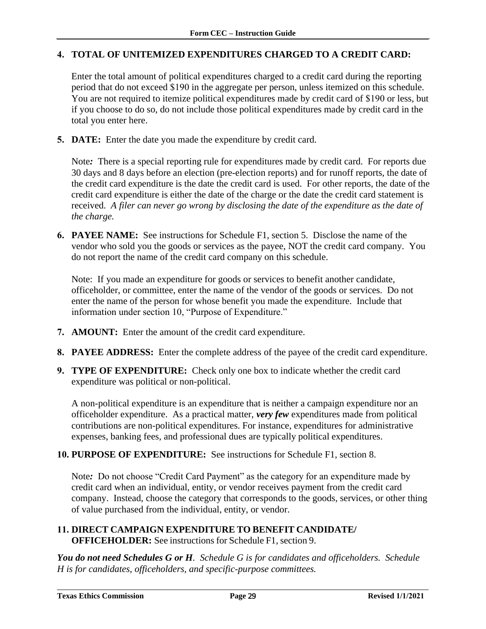#### **4. TOTAL OF UNITEMIZED EXPENDITURES CHARGED TO A CREDIT CARD:**

Enter the total amount of political expenditures charged to a credit card during the reporting period that do not exceed \$190 in the aggregate per person, unless itemized on this schedule. You are not required to itemize political expenditures made by credit card of \$190 or less, but if you choose to do so, do not include those political expenditures made by credit card in the total you enter here.

**5. DATE:** Enter the date you made the expenditure by credit card.

Note*:* There is a special reporting rule for expenditures made by credit card. For reports due 30 days and 8 days before an election (pre-election reports) and for runoff reports, the date of the credit card expenditure is the date the credit card is used. For other reports, the date of the credit card expenditure is either the date of the charge or the date the credit card statement is received. *A filer can never go wrong by disclosing the date of the expenditure as the date of the charge.*

**6. PAYEE NAME:** See instructions for Schedule F1, section 5. Disclose the name of the vendor who sold you the goods or services as the payee, NOT the credit card company. You do not report the name of the credit card company on this schedule.

Note: If you made an expenditure for goods or services to benefit another candidate, officeholder, or committee, enter the name of the vendor of the goods or services. Do not enter the name of the person for whose benefit you made the expenditure. Include that information under section 10, "Purpose of Expenditure."

- **7. AMOUNT:** Enter the amount of the credit card expenditure.
- **8. PAYEE ADDRESS:** Enter the complete address of the payee of the credit card expenditure.
- **9. TYPE OF EXPENDITURE:** Check only one box to indicate whether the credit card expenditure was political or non-political.

A non-political expenditure is an expenditure that is neither a campaign expenditure nor an officeholder expenditure. As a practical matter, *very few* expenditures made from political contributions are non-political expenditures. For instance, expenditures for administrative expenses, banking fees, and professional dues are typically political expenditures.

**10. PURPOSE OF EXPENDITURE:** See instructions for Schedule F1, section 8.

Note*:* Do not choose "Credit Card Payment" as the category for an expenditure made by credit card when an individual, entity, or vendor receives payment from the credit card company. Instead, choose the category that corresponds to the goods, services, or other thing of value purchased from the individual, entity, or vendor.

#### **11. DIRECT CAMPAIGN EXPENDITURE TO BENEFIT CANDIDATE/ OFFICEHOLDER:** See instructions for Schedule F1, section 9.

*You do not need Schedules G or H. Schedule G is for candidates and officeholders. Schedule H is for candidates, officeholders, and specific-purpose committees.*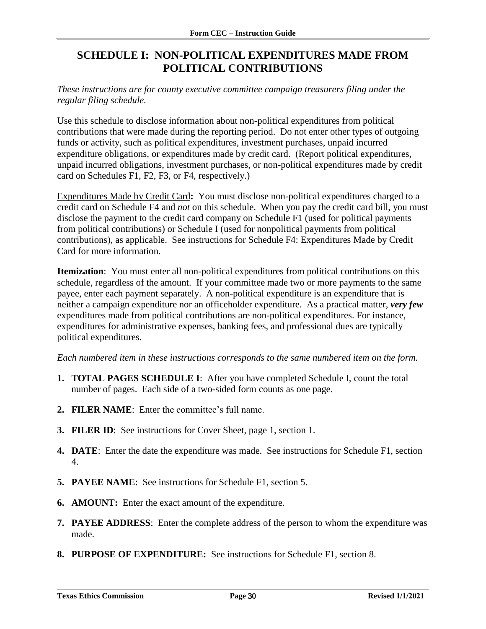### <span id="page-31-0"></span>**SCHEDULE I: NON-POLITICAL EXPENDITURES MADE FROM POLITICAL CONTRIBUTIONS**

#### *These instructions are for county executive committee campaign treasurers filing under the regular filing schedule.*

Use this schedule to disclose information about non-political expenditures from political contributions that were made during the reporting period. Do not enter other types of outgoing funds or activity, such as political expenditures, investment purchases, unpaid incurred expenditure obligations, or expenditures made by credit card. (Report political expenditures, unpaid incurred obligations, investment purchases, or non-political expenditures made by credit card on Schedules F1, F2, F3, or F4, respectively.)

Expenditures Made by Credit Card**:** You must disclose non-political expenditures charged to a credit card on Schedule F4 and *not* on this schedule. When you pay the credit card bill, you must disclose the payment to the credit card company on Schedule F1 (used for political payments from political contributions) or Schedule I (used for nonpolitical payments from political contributions), as applicable. See instructions for Schedule F4: Expenditures Made by Credit Card for more information.

**Itemization**: You must enter all non-political expenditures from political contributions on this schedule, regardless of the amount. If your committee made two or more payments to the same payee, enter each payment separately. A non-political expenditure is an expenditure that is neither a campaign expenditure nor an officeholder expenditure. As a practical matter, *very few* expenditures made from political contributions are non-political expenditures. For instance, expenditures for administrative expenses, banking fees, and professional dues are typically political expenditures.

*Each numbered item in these instructions corresponds to the same numbered item on the form.*

- **1. TOTAL PAGES SCHEDULE I**: After you have completed Schedule I, count the total number of pages. Each side of a two-sided form counts as one page.
- **2. FILER NAME**: Enter the committee's full name.
- **3. FILER ID**: See instructions for Cover Sheet, page 1, section 1.
- **4. DATE**: Enter the date the expenditure was made. See instructions for Schedule F1, section 4.
- **5. PAYEE NAME**: See instructions for Schedule F1, section 5.
- **6. AMOUNT:** Enter the exact amount of the expenditure.
- **7. PAYEE ADDRESS**: Enter the complete address of the person to whom the expenditure was made.
- **8. PURPOSE OF EXPENDITURE:** See instructions for Schedule F1, section 8.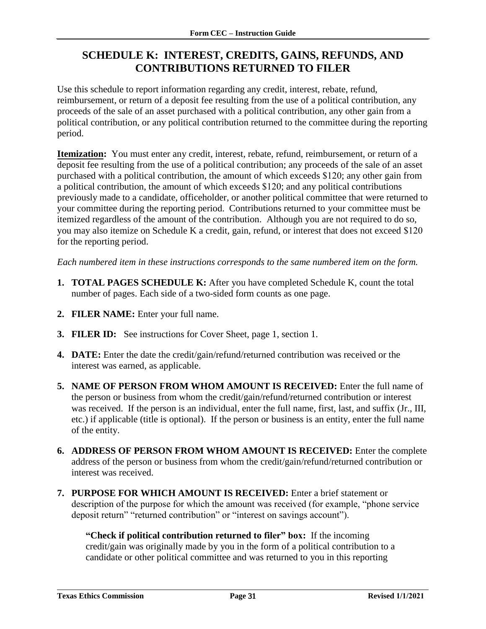### <span id="page-32-0"></span>**SCHEDULE K: INTEREST, CREDITS, GAINS, REFUNDS, AND CONTRIBUTIONS RETURNED TO FILER**

Use this schedule to report information regarding any credit, interest, rebate, refund, reimbursement, or return of a deposit fee resulting from the use of a political contribution, any proceeds of the sale of an asset purchased with a political contribution, any other gain from a political contribution, or any political contribution returned to the committee during the reporting period.

**Itemization:** You must enter any credit, interest, rebate, refund, reimbursement, or return of a deposit fee resulting from the use of a political contribution; any proceeds of the sale of an asset purchased with a political contribution, the amount of which exceeds \$120; any other gain from a political contribution, the amount of which exceeds \$120; and any political contributions previously made to a candidate, officeholder, or another political committee that were returned to your committee during the reporting period. Contributions returned to your committee must be itemized regardless of the amount of the contribution. Although you are not required to do so, you may also itemize on Schedule K a credit, gain, refund, or interest that does not exceed \$120 for the reporting period.

*Each numbered item in these instructions corresponds to the same numbered item on the form.*

- **1. TOTAL PAGES SCHEDULE K:** After you have completed Schedule K, count the total number of pages. Each side of a two-sided form counts as one page.
- **2. FILER NAME:** Enter your full name.
- **3. FILER ID:** See instructions for Cover Sheet, page 1, section 1.
- **4. DATE:** Enter the date the credit/gain/refund/returned contribution was received or the interest was earned, as applicable.
- **5. NAME OF PERSON FROM WHOM AMOUNT IS RECEIVED:** Enter the full name of the person or business from whom the credit/gain/refund/returned contribution or interest was received. If the person is an individual, enter the full name, first, last, and suffix (Jr., III, etc.) if applicable (title is optional). If the person or business is an entity, enter the full name of the entity.
- **6. ADDRESS OF PERSON FROM WHOM AMOUNT IS RECEIVED:** Enter the complete address of the person or business from whom the credit/gain/refund/returned contribution or interest was received.
- **7. PURPOSE FOR WHICH AMOUNT IS RECEIVED:** Enter a brief statement or description of the purpose for which the amount was received (for example, "phone service deposit return" "returned contribution" or "interest on savings account").

**"Check if political contribution returned to filer" box:** If the incoming credit/gain was originally made by you in the form of a political contribution to a candidate or other political committee and was returned to you in this reporting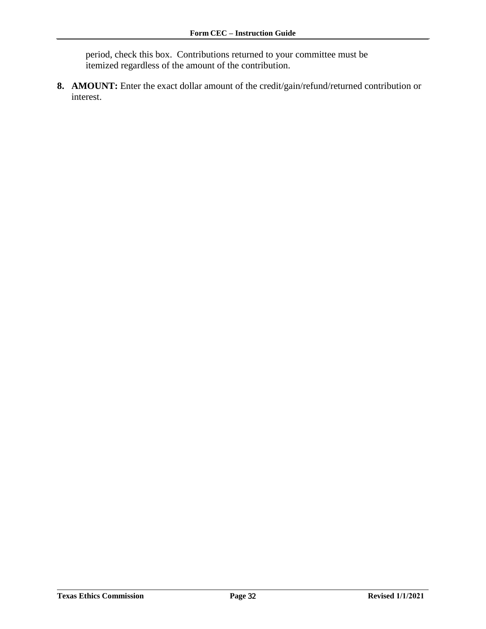period, check this box. Contributions returned to your committee must be itemized regardless of the amount of the contribution.

**8. AMOUNT:** Enter the exact dollar amount of the credit/gain/refund/returned contribution or interest.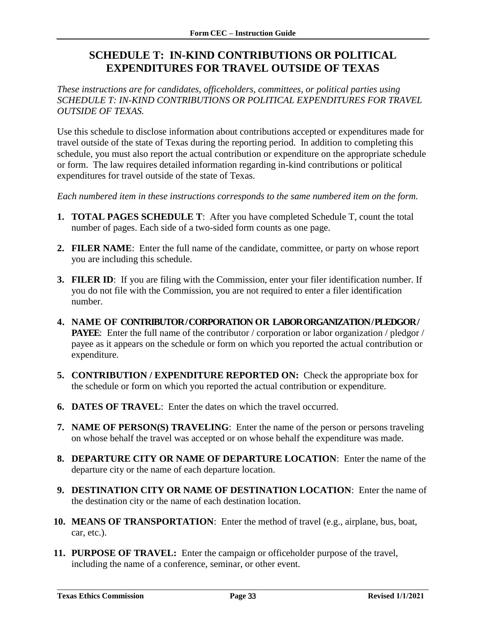### <span id="page-34-0"></span>**SCHEDULE T: IN-KIND CONTRIBUTIONS OR POLITICAL EXPENDITURES FOR TRAVEL OUTSIDE OF TEXAS**

*These instructions are for candidates, officeholders, committees, or political parties using SCHEDULE T: IN-KIND CONTRIBUTIONS OR POLITICAL EXPENDITURES FOR TRAVEL OUTSIDE OF TEXAS.*

Use this schedule to disclose information about contributions accepted or expenditures made for travel outside of the state of Texas during the reporting period. In addition to completing this schedule, you must also report the actual contribution or expenditure on the appropriate schedule or form. The law requires detailed information regarding in-kind contributions or political expenditures for travel outside of the state of Texas.

*Each numbered item in these instructions corresponds to the same numbered item on the form.*

- **1. TOTAL PAGES SCHEDULE T**: After you have completed Schedule T, count the total number of pages. Each side of a two-sided form counts as one page.
- **2. FILER NAME**: Enter the full name of the candidate, committee, or party on whose report you are including this schedule.
- **3. FILER ID**: If you are filing with the Commission, enter your filer identification number. If you do not file with the Commission, you are not required to enter a filer identification number.
- **4. NAME OF CONTRIBUTOR / CORPORATION OR LABOR ORGANIZATION / PLEDGOR / PAYEE**: Enter the full name of the contributor / corporation or labor organization / pledgor / payee as it appears on the schedule or form on which you reported the actual contribution or expenditure.
- **5. CONTRIBUTION / EXPENDITURE REPORTED ON:** Check the appropriate box for the schedule or form on which you reported the actual contribution or expenditure.
- **6. DATES OF TRAVEL**: Enter the dates on which the travel occurred.
- **7. NAME OF PERSON(S) TRAVELING**: Enter the name of the person or persons traveling on whose behalf the travel was accepted or on whose behalf the expenditure was made.
- **8. DEPARTURE CITY OR NAME OF DEPARTURE LOCATION**: Enter the name of the departure city or the name of each departure location.
- **9. DESTINATION CITY OR NAME OF DESTINATION LOCATION**: Enter the name of the destination city or the name of each destination location.
- **10. MEANS OF TRANSPORTATION**: Enter the method of travel (e.g., airplane, bus, boat, car, etc.).
- **11. PURPOSE OF TRAVEL:** Enter the campaign or officeholder purpose of the travel, including the name of a conference, seminar, or other event.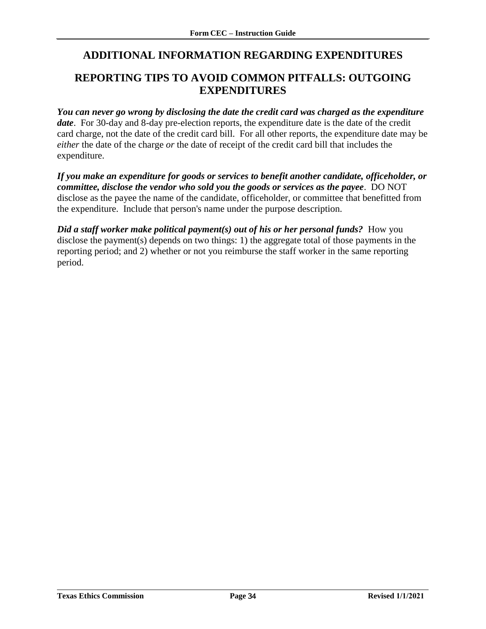### <span id="page-35-0"></span>**ADDITIONAL INFORMATION REGARDING EXPENDITURES**

### <span id="page-35-1"></span>**REPORTING TIPS TO AVOID COMMON PITFALLS: OUTGOING EXPENDITURES**

*You can never go wrong by disclosing the date the credit card was charged as the expenditure date*. For 30-day and 8-day pre-election reports, the expenditure date is the date of the credit card charge, not the date of the credit card bill. For all other reports, the expenditure date may be *either* the date of the charge *or* the date of receipt of the credit card bill that includes the expenditure.

*If you make an expenditure for goods or services to benefit another candidate, officeholder, or committee, disclose the vendor who sold you the goods or services as the payee*. DO NOT disclose as the payee the name of the candidate, officeholder, or committee that benefitted from the expenditure. Include that person's name under the purpose description.

*Did a staff worker make political payment(s) out of his or her personal funds?* **How you** disclose the payment(s) depends on two things: 1) the aggregate total of those payments in the reporting period; and 2) whether or not you reimburse the staff worker in the same reporting period.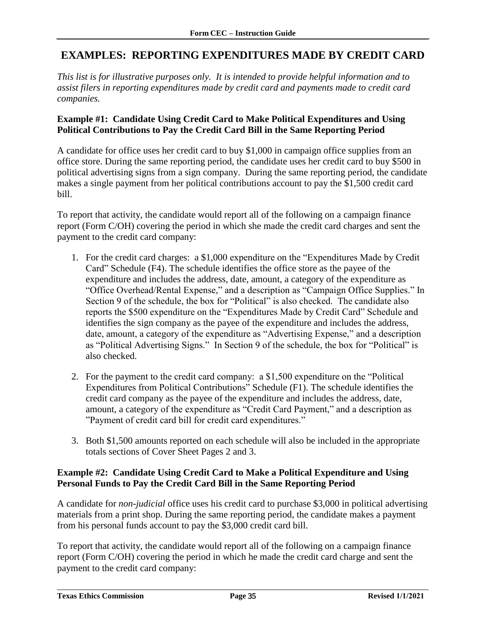### <span id="page-36-0"></span>**EXAMPLES: REPORTING EXPENDITURES MADE BY CREDIT CARD**

*This list is for illustrative purposes only. It is intended to provide helpful information and to assist filers in reporting expenditures made by credit card and payments made to credit card companies.*

#### **Example #1: Candidate Using Credit Card to Make Political Expenditures and Using Political Contributions to Pay the Credit Card Bill in the Same Reporting Period**

A candidate for office uses her credit card to buy \$1,000 in campaign office supplies from an office store. During the same reporting period, the candidate uses her credit card to buy \$500 in political advertising signs from a sign company. During the same reporting period, the candidate makes a single payment from her political contributions account to pay the \$1,500 credit card bill.

To report that activity, the candidate would report all of the following on a campaign finance report (Form C/OH) covering the period in which she made the credit card charges and sent the payment to the credit card company:

- 1. For the credit card charges: a \$1,000 expenditure on the "Expenditures Made by Credit Card" Schedule (F4). The schedule identifies the office store as the payee of the expenditure and includes the address, date, amount, a category of the expenditure as "Office Overhead/Rental Expense," and a description as "Campaign Office Supplies." In Section 9 of the schedule, the box for "Political" is also checked. The candidate also reports the \$500 expenditure on the "Expenditures Made by Credit Card" Schedule and identifies the sign company as the payee of the expenditure and includes the address, date, amount, a category of the expenditure as "Advertising Expense," and a description as "Political Advertising Signs." In Section 9 of the schedule, the box for "Political" is also checked.
- 2. For the payment to the credit card company: a \$1,500 expenditure on the "Political Expenditures from Political Contributions" Schedule (F1). The schedule identifies the credit card company as the payee of the expenditure and includes the address, date, amount, a category of the expenditure as "Credit Card Payment," and a description as "Payment of credit card bill for credit card expenditures."
- 3. Both \$1,500 amounts reported on each schedule will also be included in the appropriate totals sections of Cover Sheet Pages 2 and 3.

#### **Example #2: Candidate Using Credit Card to Make a Political Expenditure and Using Personal Funds to Pay the Credit Card Bill in the Same Reporting Period**

A candidate for *non-judicial* office uses his credit card to purchase \$3,000 in political advertising materials from a print shop. During the same reporting period, the candidate makes a payment from his personal funds account to pay the \$3,000 credit card bill.

To report that activity, the candidate would report all of the following on a campaign finance report (Form C/OH) covering the period in which he made the credit card charge and sent the payment to the credit card company: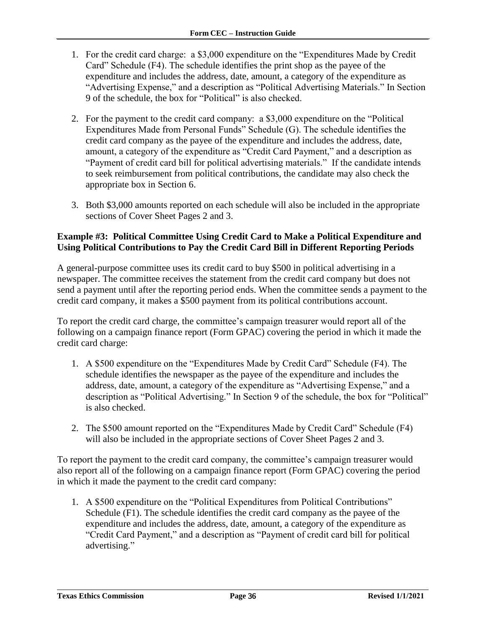- 1. For the credit card charge: a \$3,000 expenditure on the "Expenditures Made by Credit Card" Schedule (F4). The schedule identifies the print shop as the payee of the expenditure and includes the address, date, amount, a category of the expenditure as "Advertising Expense," and a description as "Political Advertising Materials." In Section 9 of the schedule, the box for "Political" is also checked.
- 2. For the payment to the credit card company: a \$3,000 expenditure on the "Political Expenditures Made from Personal Funds" Schedule (G). The schedule identifies the credit card company as the payee of the expenditure and includes the address, date, amount, a category of the expenditure as "Credit Card Payment," and a description as "Payment of credit card bill for political advertising materials." If the candidate intends to seek reimbursement from political contributions, the candidate may also check the appropriate box in Section 6.
- 3. Both \$3,000 amounts reported on each schedule will also be included in the appropriate sections of Cover Sheet Pages 2 and 3.

#### **Example #3: Political Committee Using Credit Card to Make a Political Expenditure and Using Political Contributions to Pay the Credit Card Bill in Different Reporting Periods**

A general-purpose committee uses its credit card to buy \$500 in political advertising in a newspaper. The committee receives the statement from the credit card company but does not send a payment until after the reporting period ends. When the committee sends a payment to the credit card company, it makes a \$500 payment from its political contributions account.

To report the credit card charge, the committee's campaign treasurer would report all of the following on a campaign finance report (Form GPAC) covering the period in which it made the credit card charge:

- 1. A \$500 expenditure on the "Expenditures Made by Credit Card" Schedule (F4). The schedule identifies the newspaper as the payee of the expenditure and includes the address, date, amount, a category of the expenditure as "Advertising Expense," and a description as "Political Advertising." In Section 9 of the schedule, the box for "Political" is also checked.
- 2. The \$500 amount reported on the "Expenditures Made by Credit Card" Schedule (F4) will also be included in the appropriate sections of Cover Sheet Pages 2 and 3.

To report the payment to the credit card company, the committee's campaign treasurer would also report all of the following on a campaign finance report (Form GPAC) covering the period in which it made the payment to the credit card company:

1. A \$500 expenditure on the "Political Expenditures from Political Contributions" Schedule (F1). The schedule identifies the credit card company as the payee of the expenditure and includes the address, date, amount, a category of the expenditure as "Credit Card Payment," and a description as "Payment of credit card bill for political advertising."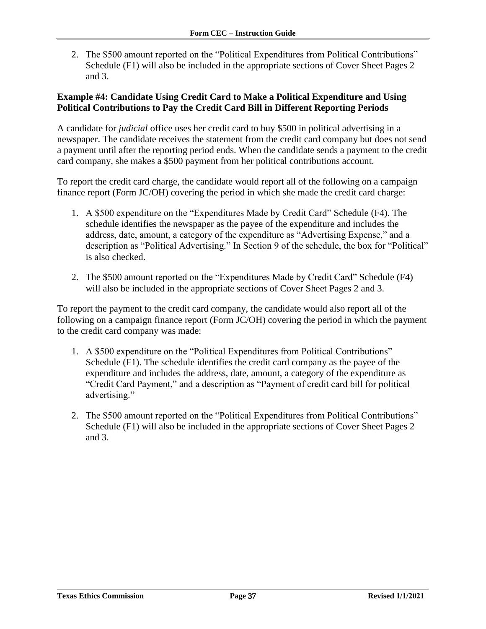2. The \$500 amount reported on the "Political Expenditures from Political Contributions" Schedule (F1) will also be included in the appropriate sections of Cover Sheet Pages 2 and 3.

#### **Example #4: Candidate Using Credit Card to Make a Political Expenditure and Using Political Contributions to Pay the Credit Card Bill in Different Reporting Periods**

A candidate for *judicial* office uses her credit card to buy \$500 in political advertising in a newspaper. The candidate receives the statement from the credit card company but does not send a payment until after the reporting period ends. When the candidate sends a payment to the credit card company, she makes a \$500 payment from her political contributions account.

To report the credit card charge, the candidate would report all of the following on a campaign finance report (Form JC/OH) covering the period in which she made the credit card charge:

- 1. A \$500 expenditure on the "Expenditures Made by Credit Card" Schedule (F4). The schedule identifies the newspaper as the payee of the expenditure and includes the address, date, amount, a category of the expenditure as "Advertising Expense," and a description as "Political Advertising." In Section 9 of the schedule, the box for "Political" is also checked.
- 2. The \$500 amount reported on the "Expenditures Made by Credit Card" Schedule (F4) will also be included in the appropriate sections of Cover Sheet Pages 2 and 3.

To report the payment to the credit card company, the candidate would also report all of the following on a campaign finance report (Form JC/OH) covering the period in which the payment to the credit card company was made:

- 1. A \$500 expenditure on the "Political Expenditures from Political Contributions" Schedule (F1). The schedule identifies the credit card company as the payee of the expenditure and includes the address, date, amount, a category of the expenditure as "Credit Card Payment," and a description as "Payment of credit card bill for political advertising."
- 2. The \$500 amount reported on the "Political Expenditures from Political Contributions" Schedule (F1) will also be included in the appropriate sections of Cover Sheet Pages 2 and 3.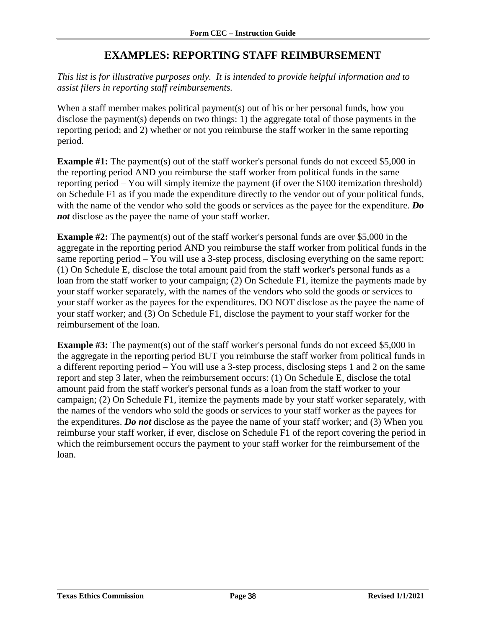### **EXAMPLES: REPORTING STAFF REIMBURSEMENT**

<span id="page-39-0"></span>*This list is for illustrative purposes only. It is intended to provide helpful information and to assist filers in reporting staff reimbursements.* 

When a staff member makes political payment(s) out of his or her personal funds, how you disclose the payment(s) depends on two things: 1) the aggregate total of those payments in the reporting period; and 2) whether or not you reimburse the staff worker in the same reporting period.

**Example #1:** The payment(s) out of the staff worker's personal funds do not exceed \$5,000 in the reporting period AND you reimburse the staff worker from political funds in the same reporting period – You will simply itemize the payment (if over the \$100 itemization threshold) on Schedule F1 as if you made the expenditure directly to the vendor out of your political funds, with the name of the vendor who sold the goods or services as the payee for the expenditure. *Do not* disclose as the payee the name of your staff worker.

**Example #2:** The payment(s) out of the staff worker's personal funds are over \$5,000 in the aggregate in the reporting period AND you reimburse the staff worker from political funds in the same reporting period – You will use a 3-step process, disclosing everything on the same report: (1) On Schedule E, disclose the total amount paid from the staff worker's personal funds as a loan from the staff worker to your campaign; (2) On Schedule F1, itemize the payments made by your staff worker separately, with the names of the vendors who sold the goods or services to your staff worker as the payees for the expenditures. DO NOT disclose as the payee the name of your staff worker; and (3) On Schedule F1, disclose the payment to your staff worker for the reimbursement of the loan.

**Example #3:** The payment(s) out of the staff worker's personal funds do not exceed \$5,000 in the aggregate in the reporting period BUT you reimburse the staff worker from political funds in a different reporting period – You will use a 3-step process, disclosing steps 1 and 2 on the same report and step 3 later, when the reimbursement occurs: (1) On Schedule E, disclose the total amount paid from the staff worker's personal funds as a loan from the staff worker to your campaign; (2) On Schedule F1, itemize the payments made by your staff worker separately, with the names of the vendors who sold the goods or services to your staff worker as the payees for the expenditures. *Do not* disclose as the payee the name of your staff worker; and (3) When you reimburse your staff worker, if ever, disclose on Schedule F1 of the report covering the period in which the reimbursement occurs the payment to your staff worker for the reimbursement of the loan.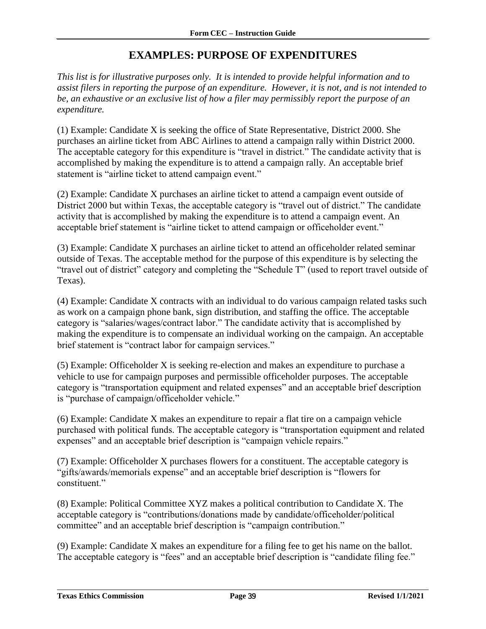### **EXAMPLES: PURPOSE OF EXPENDITURES**

<span id="page-40-0"></span>*This list is for illustrative purposes only. It is intended to provide helpful information and to assist filers in reporting the purpose of an expenditure. However, it is not, and is not intended to be, an exhaustive or an exclusive list of how a filer may permissibly report the purpose of an expenditure.*

(1) Example: Candidate X is seeking the office of State Representative, District 2000. She purchases an airline ticket from ABC Airlines to attend a campaign rally within District 2000. The acceptable category for this expenditure is "travel in district." The candidate activity that is accomplished by making the expenditure is to attend a campaign rally. An acceptable brief statement is "airline ticket to attend campaign event."

(2) Example: Candidate X purchases an airline ticket to attend a campaign event outside of District 2000 but within Texas, the acceptable category is "travel out of district." The candidate activity that is accomplished by making the expenditure is to attend a campaign event. An acceptable brief statement is "airline ticket to attend campaign or officeholder event."

(3) Example: Candidate X purchases an airline ticket to attend an officeholder related seminar outside of Texas. The acceptable method for the purpose of this expenditure is by selecting the "travel out of district" category and completing the "Schedule T" (used to report travel outside of Texas).

(4) Example: Candidate X contracts with an individual to do various campaign related tasks such as work on a campaign phone bank, sign distribution, and staffing the office. The acceptable category is "salaries/wages/contract labor." The candidate activity that is accomplished by making the expenditure is to compensate an individual working on the campaign. An acceptable brief statement is "contract labor for campaign services."

(5) Example: Officeholder X is seeking re-election and makes an expenditure to purchase a vehicle to use for campaign purposes and permissible officeholder purposes. The acceptable category is "transportation equipment and related expenses" and an acceptable brief description is "purchase of campaign/officeholder vehicle."

(6) Example: Candidate X makes an expenditure to repair a flat tire on a campaign vehicle purchased with political funds. The acceptable category is "transportation equipment and related expenses" and an acceptable brief description is "campaign vehicle repairs."

(7) Example: Officeholder X purchases flowers for a constituent. The acceptable category is "gifts/awards/memorials expense" and an acceptable brief description is "flowers for constituent."

(8) Example: Political Committee XYZ makes a political contribution to Candidate X. The acceptable category is "contributions/donations made by candidate/officeholder/political committee" and an acceptable brief description is "campaign contribution."

(9) Example: Candidate X makes an expenditure for a filing fee to get his name on the ballot. The acceptable category is "fees" and an acceptable brief description is "candidate filing fee."